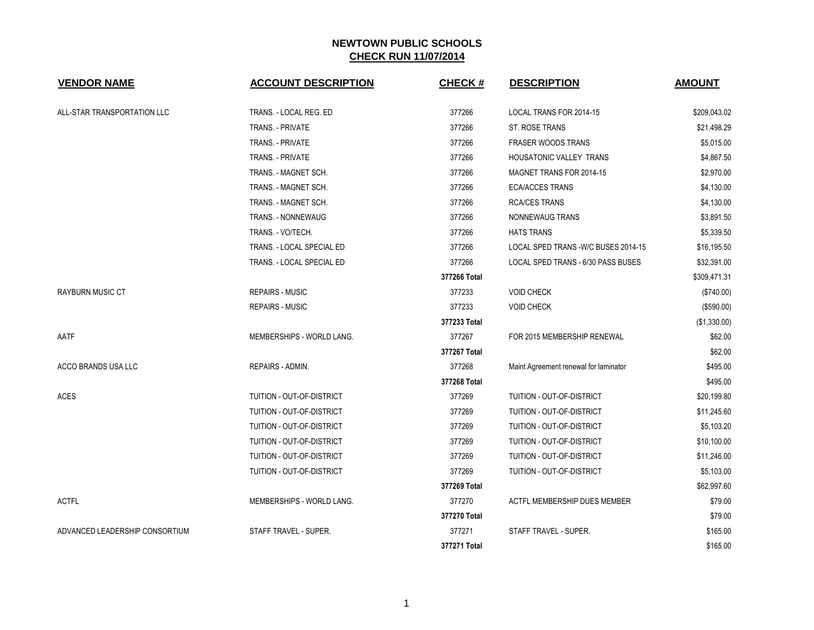| <b>VENDOR NAME</b>             | <b>ACCOUNT DESCRIPTION</b> | <b>CHECK#</b> | <b>DESCRIPTION</b>                    | <b>AMOUNT</b> |
|--------------------------------|----------------------------|---------------|---------------------------------------|---------------|
| ALL-STAR TRANSPORTATION LLC    | TRANS. - LOCAL REG. ED     | 377266        | LOCAL TRANS FOR 2014-15               | \$209,043.02  |
|                                | TRANS. - PRIVATE           | 377266        | <b>ST. ROSE TRANS</b>                 | \$21,498.29   |
|                                | <b>TRANS. - PRIVATE</b>    | 377266        | <b>FRASER WOODS TRANS</b>             | \$5,015.00    |
|                                | <b>TRANS. - PRIVATE</b>    | 377266        | <b>HOUSATONIC VALLEY TRANS</b>        | \$4,867.50    |
|                                | TRANS. - MAGNET SCH.       | 377266        | MAGNET TRANS FOR 2014-15              | \$2,970.00    |
|                                | TRANS. - MAGNET SCH.       | 377266        | <b>ECA/ACCES TRANS</b>                | \$4,130.00    |
|                                | TRANS. - MAGNET SCH.       | 377266        | <b>RCA/CES TRANS</b>                  | \$4,130.00    |
|                                | TRANS. - NONNEWAUG         | 377266        | NONNEWAUG TRANS                       | \$3,891.50    |
|                                | TRANS. - VO/TECH.          | 377266        | <b>HATS TRANS</b>                     | \$5,339.50    |
|                                | TRANS. - LOCAL SPECIAL ED  | 377266        | LOCAL SPED TRANS - W/C BUSES 2014-15  | \$16,195.50   |
|                                | TRANS. - LOCAL SPECIAL ED  | 377266        | LOCAL SPED TRANS - 6/30 PASS BUSES    | \$32,391.00   |
|                                |                            | 377266 Total  |                                       | \$309,471.31  |
| <b>RAYBURN MUSIC CT</b>        | <b>REPAIRS - MUSIC</b>     | 377233        | <b>VOID CHECK</b>                     | (\$740.00)    |
|                                | <b>REPAIRS - MUSIC</b>     | 377233        | <b>VOID CHECK</b>                     | (\$590.00)    |
|                                |                            | 377233 Total  |                                       | (\$1,330.00)  |
| AATF                           | MEMBERSHIPS - WORLD LANG.  | 377267        | FOR 2015 MEMBERSHIP RENEWAL           | \$62.00       |
|                                |                            | 377267 Total  |                                       | \$62.00       |
| ACCO BRANDS USA LLC            | REPAIRS - ADMIN.           | 377268        | Maint Agreement renewal for laminator | \$495.00      |
|                                |                            | 377268 Total  |                                       | \$495.00      |
| <b>ACES</b>                    | TUITION - OUT-OF-DISTRICT  | 377269        | TUITION - OUT-OF-DISTRICT             | \$20,199.80   |
|                                | TUITION - OUT-OF-DISTRICT  | 377269        | TUITION - OUT-OF-DISTRICT             | \$11,245.60   |
|                                | TUITION - OUT-OF-DISTRICT  | 377269        | TUITION - OUT-OF-DISTRICT             | \$5,103.20    |
|                                | TUITION - OUT-OF-DISTRICT  | 377269        | TUITION - OUT-OF-DISTRICT             | \$10,100.00   |
|                                | TUITION - OUT-OF-DISTRICT  | 377269        | TUITION - OUT-OF-DISTRICT             | \$11,246.00   |
|                                | TUITION - OUT-OF-DISTRICT  | 377269        | TUITION - OUT-OF-DISTRICT             | \$5,103.00    |
|                                |                            | 377269 Total  |                                       | \$62,997.60   |
| <b>ACTFL</b>                   | MEMBERSHIPS - WORLD LANG.  | 377270        | ACTFL MEMBERSHIP DUES MEMBER          | \$79.00       |
|                                |                            | 377270 Total  |                                       | \$79.00       |
| ADVANCED LEADERSHIP CONSORTIUM | STAFF TRAVEL - SUPER.      | 377271        | STAFF TRAVEL - SUPER.                 | \$165.00      |
|                                |                            | 377271 Total  |                                       | \$165.00      |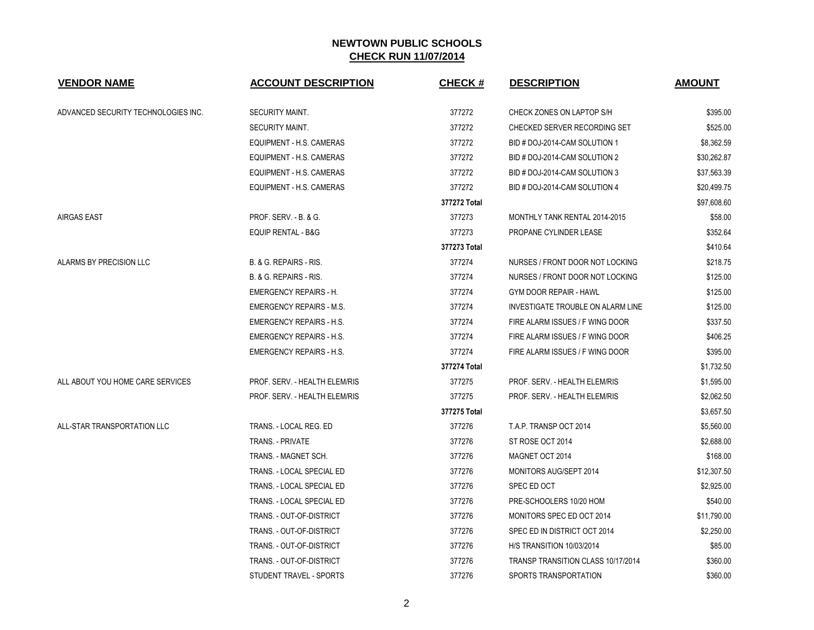| <b>VENDOR NAME</b>                  | <b>ACCOUNT DESCRIPTION</b>      | <b>CHECK#</b> | <b>DESCRIPTION</b>                        | <b>AMOUNT</b> |
|-------------------------------------|---------------------------------|---------------|-------------------------------------------|---------------|
| ADVANCED SECURITY TECHNOLOGIES INC. | SECURITY MAINT.                 | 377272        | CHECK ZONES ON LAPTOP S/H                 | \$395.00      |
|                                     | SECURITY MAINT.                 | 377272        | CHECKED SERVER RECORDING SET              | \$525.00      |
|                                     | EQUIPMENT - H.S. CAMERAS        | 377272        | BID # DOJ-2014-CAM SOLUTION 1             | \$8,362.59    |
|                                     | EQUIPMENT - H.S. CAMERAS        | 377272        | BID # DOJ-2014-CAM SOLUTION 2             | \$30,262.87   |
|                                     | EQUIPMENT - H.S. CAMERAS        | 377272        | BID # DOJ-2014-CAM SOLUTION 3             | \$37,563.39   |
|                                     | EQUIPMENT - H.S. CAMERAS        | 377272        | BID # DOJ-2014-CAM SOLUTION 4             | \$20,499.75   |
|                                     |                                 | 377272 Total  |                                           | \$97,608.60   |
| <b>AIRGAS EAST</b>                  | PROF. SERV. - B. & G.           | 377273        | MONTHLY TANK RENTAL 2014-2015             | \$58.00       |
|                                     | <b>EQUIP RENTAL - B&amp;G</b>   | 377273        | PROPANE CYLINDER LEASE                    | \$352.64      |
|                                     |                                 | 377273 Total  |                                           | \$410.64      |
| ALARMS BY PRECISION LLC             | B. & G. REPAIRS - RIS.          | 377274        | NURSES / FRONT DOOR NOT LOCKING           | \$218.75      |
|                                     | B. & G. REPAIRS - RIS.          | 377274        | NURSES / FRONT DOOR NOT LOCKING           | \$125.00      |
|                                     | <b>EMERGENCY REPAIRS - H.</b>   | 377274        | <b>GYM DOOR REPAIR - HAWL</b>             | \$125.00      |
|                                     | <b>EMERGENCY REPAIRS - M.S.</b> | 377274        | <b>INVESTIGATE TROUBLE ON ALARM LINE</b>  | \$125.00      |
|                                     | <b>EMERGENCY REPAIRS - H.S.</b> | 377274        | FIRE ALARM ISSUES / F WING DOOR           | \$337.50      |
|                                     | <b>EMERGENCY REPAIRS - H.S.</b> | 377274        | FIRE ALARM ISSUES / F WING DOOR           | \$406.25      |
|                                     | <b>EMERGENCY REPAIRS - H.S.</b> | 377274        | FIRE ALARM ISSUES / F WING DOOR           | \$395.00      |
|                                     |                                 | 377274 Total  |                                           | \$1,732.50    |
| ALL ABOUT YOU HOME CARE SERVICES    | PROF. SERV. - HEALTH ELEM/RIS   | 377275        | PROF. SERV. - HEALTH ELEM/RIS             | \$1,595.00    |
|                                     | PROF. SERV. - HEALTH ELEM/RIS   | 377275        | PROF. SERV. - HEALTH ELEM/RIS             | \$2,062.50    |
|                                     |                                 | 377275 Total  |                                           | \$3,657.50    |
| ALL-STAR TRANSPORTATION LLC         | TRANS. - LOCAL REG. ED          | 377276        | T.A.P. TRANSP OCT 2014                    | \$5,560.00    |
|                                     | TRANS. - PRIVATE                | 377276        | ST ROSE OCT 2014                          | \$2,688.00    |
|                                     | TRANS. - MAGNET SCH.            | 377276        | MAGNET OCT 2014                           | \$168.00      |
|                                     | TRANS. - LOCAL SPECIAL ED       | 377276        | MONITORS AUG/SEPT 2014                    | \$12,307.50   |
|                                     | TRANS. - LOCAL SPECIAL ED       | 377276        | SPEC ED OCT                               | \$2,925.00    |
|                                     | TRANS. - LOCAL SPECIAL ED       | 377276        | PRE-SCHOOLERS 10/20 HOM                   | \$540.00      |
|                                     | TRANS. - OUT-OF-DISTRICT        | 377276        | MONITORS SPEC ED OCT 2014                 | \$11,790.00   |
|                                     | TRANS. - OUT-OF-DISTRICT        | 377276        | SPEC ED IN DISTRICT OCT 2014              | \$2,250.00    |
|                                     | TRANS. - OUT-OF-DISTRICT        | 377276        | <b>H/S TRANSITION 10/03/2014</b>          | \$85.00       |
|                                     | TRANS. - OUT-OF-DISTRICT        | 377276        | <b>TRANSP TRANSITION CLASS 10/17/2014</b> | \$360.00      |
|                                     | STUDENT TRAVEL - SPORTS         | 377276        | SPORTS TRANSPORTATION                     | \$360.00      |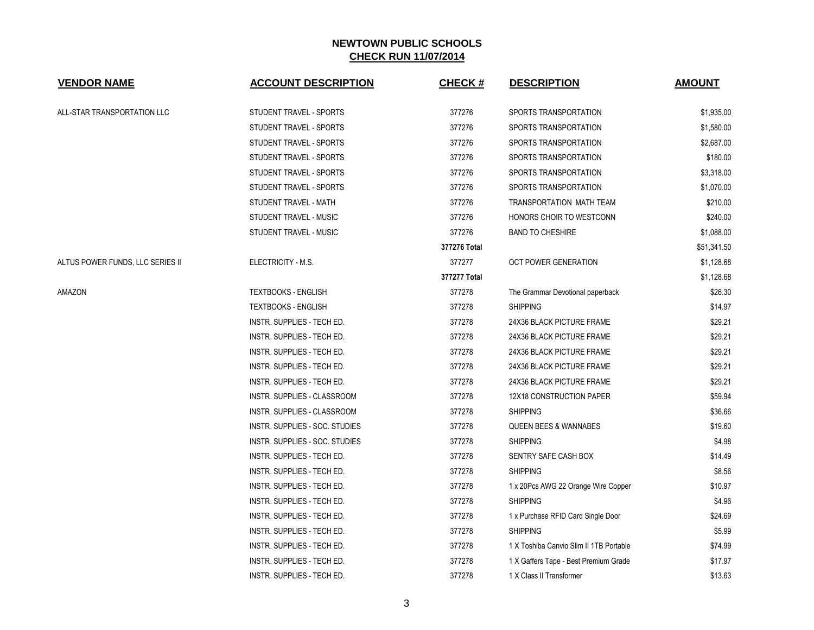| <b>VENDOR NAME</b>               | <b>ACCOUNT DESCRIPTION</b>        | <b>CHECK#</b> | <b>DESCRIPTION</b>                      | <b>AMOUNT</b> |
|----------------------------------|-----------------------------------|---------------|-----------------------------------------|---------------|
| ALL-STAR TRANSPORTATION LLC      | STUDENT TRAVEL - SPORTS           | 377276        | SPORTS TRANSPORTATION                   | \$1,935.00    |
|                                  | STUDENT TRAVEL - SPORTS           | 377276        | SPORTS TRANSPORTATION                   | \$1,580.00    |
|                                  | STUDENT TRAVEL - SPORTS           | 377276        | SPORTS TRANSPORTATION                   | \$2,687.00    |
|                                  | STUDENT TRAVEL - SPORTS           | 377276        | SPORTS TRANSPORTATION                   | \$180.00      |
|                                  | STUDENT TRAVEL - SPORTS           | 377276        | SPORTS TRANSPORTATION                   | \$3,318.00    |
|                                  | STUDENT TRAVEL - SPORTS           | 377276        | SPORTS TRANSPORTATION                   | \$1,070.00    |
|                                  | STUDENT TRAVEL - MATH             | 377276        | TRANSPORTATION MATH TEAM                | \$210.00      |
|                                  | STUDENT TRAVEL - MUSIC            | 377276        | HONORS CHOIR TO WESTCONN                | \$240.00      |
|                                  | STUDENT TRAVEL - MUSIC            | 377276        | <b>BAND TO CHESHIRE</b>                 | \$1,088.00    |
|                                  |                                   | 377276 Total  |                                         | \$51,341.50   |
| ALTUS POWER FUNDS, LLC SERIES II | ELECTRICITY - M.S.                | 377277        | <b>OCT POWER GENERATION</b>             | \$1,128.68    |
|                                  |                                   | 377277 Total  |                                         | \$1,128.68    |
| AMAZON                           | <b>TEXTBOOKS - ENGLISH</b>        | 377278        | The Grammar Devotional paperback        | \$26.30       |
|                                  | <b>TEXTBOOKS - ENGLISH</b>        | 377278        | <b>SHIPPING</b>                         | \$14.97       |
|                                  | INSTR. SUPPLIES - TECH ED.        | 377278        | 24X36 BLACK PICTURE FRAME               | \$29.21       |
|                                  | INSTR. SUPPLIES - TECH ED.        | 377278        | 24X36 BLACK PICTURE FRAME               | \$29.21       |
|                                  | <b>INSTR. SUPPLIES - TECH ED.</b> | 377278        | 24X36 BLACK PICTURE FRAME               | \$29.21       |
|                                  | INSTR. SUPPLIES - TECH ED.        | 377278        | 24X36 BLACK PICTURE FRAME               | \$29.21       |
|                                  | INSTR. SUPPLIES - TECH ED.        | 377278        | 24X36 BLACK PICTURE FRAME               | \$29.21       |
|                                  | INSTR. SUPPLIES - CLASSROOM       | 377278        | 12X18 CONSTRUCTION PAPER                | \$59.94       |
|                                  | INSTR. SUPPLIES - CLASSROOM       | 377278        | <b>SHIPPING</b>                         | \$36.66       |
|                                  | INSTR. SUPPLIES - SOC. STUDIES    | 377278        | <b>QUEEN BEES &amp; WANNABES</b>        | \$19.60       |
|                                  | INSTR. SUPPLIES - SOC. STUDIES    | 377278        | <b>SHIPPING</b>                         | \$4.98        |
|                                  | INSTR. SUPPLIES - TECH ED.        | 377278        | SENTRY SAFE CASH BOX                    | \$14.49       |
|                                  | INSTR. SUPPLIES - TECH ED.        | 377278        | <b>SHIPPING</b>                         | \$8.56        |
|                                  | INSTR. SUPPLIES - TECH ED.        | 377278        | 1 x 20Pcs AWG 22 Orange Wire Copper     | \$10.97       |
|                                  | INSTR. SUPPLIES - TECH ED.        | 377278        | <b>SHIPPING</b>                         | \$4.96        |
|                                  | INSTR. SUPPLIES - TECH ED.        | 377278        | 1 x Purchase RFID Card Single Door      | \$24.69       |
|                                  | INSTR. SUPPLIES - TECH ED.        | 377278        | <b>SHIPPING</b>                         | \$5.99        |
|                                  | INSTR. SUPPLIES - TECH ED.        | 377278        | 1 X Toshiba Canvio Slim II 1TB Portable | \$74.99       |
|                                  | INSTR. SUPPLIES - TECH ED.        | 377278        | 1 X Gaffers Tape - Best Premium Grade   | \$17.97       |
|                                  | <b>INSTR. SUPPLIES - TECH ED.</b> | 377278        | 1 X Class II Transformer                | \$13.63       |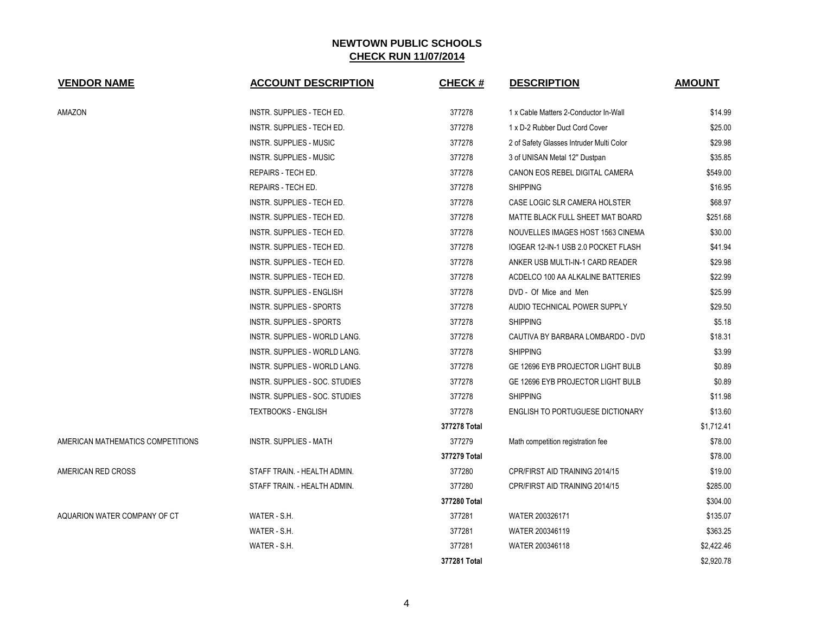| <b>VENDOR NAME</b>                | <b>ACCOUNT DESCRIPTION</b>       | <b>CHECK#</b> | <b>DESCRIPTION</b>                       | <b>AMOUNT</b> |
|-----------------------------------|----------------------------------|---------------|------------------------------------------|---------------|
| AMAZON                            | INSTR. SUPPLIES - TECH ED.       | 377278        | 1 x Cable Matters 2-Conductor In-Wall    | \$14.99       |
|                                   | INSTR. SUPPLIES - TECH ED.       | 377278        | 1 x D-2 Rubber Duct Cord Cover           | \$25.00       |
|                                   | <b>INSTR. SUPPLIES - MUSIC</b>   | 377278        | 2 of Safety Glasses Intruder Multi Color | \$29.98       |
|                                   | <b>INSTR. SUPPLIES - MUSIC</b>   | 377278        | 3 of UNISAN Metal 12" Dustpan            | \$35.85       |
|                                   | REPAIRS - TECH ED.               | 377278        | CANON EOS REBEL DIGITAL CAMERA           | \$549.00      |
|                                   | REPAIRS - TECH ED.               | 377278        | <b>SHIPPING</b>                          | \$16.95       |
|                                   | INSTR. SUPPLIES - TECH ED.       | 377278        | CASE LOGIC SLR CAMERA HOLSTER            | \$68.97       |
|                                   | INSTR. SUPPLIES - TECH ED.       | 377278        | MATTE BLACK FULL SHEET MAT BOARD         | \$251.68      |
|                                   | INSTR. SUPPLIES - TECH ED.       | 377278        | NOUVELLES IMAGES HOST 1563 CINEMA        | \$30.00       |
|                                   | INSTR. SUPPLIES - TECH ED.       | 377278        | IOGEAR 12-IN-1 USB 2.0 POCKET FLASH      | \$41.94       |
|                                   | INSTR. SUPPLIES - TECH ED.       | 377278        | ANKER USB MULTI-IN-1 CARD READER         | \$29.98       |
|                                   | INSTR. SUPPLIES - TECH ED.       | 377278        | ACDELCO 100 AA ALKALINE BATTERIES        | \$22.99       |
|                                   | <b>INSTR. SUPPLIES - ENGLISH</b> | 377278        | DVD - Of Mice and Men                    | \$25.99       |
|                                   | INSTR. SUPPLIES - SPORTS         | 377278        | AUDIO TECHNICAL POWER SUPPLY             | \$29.50       |
|                                   | <b>INSTR. SUPPLIES - SPORTS</b>  | 377278        | <b>SHIPPING</b>                          | \$5.18        |
|                                   | INSTR. SUPPLIES - WORLD LANG.    | 377278        | CAUTIVA BY BARBARA LOMBARDO - DVD        | \$18.31       |
|                                   | INSTR. SUPPLIES - WORLD LANG.    | 377278        | <b>SHIPPING</b>                          | \$3.99        |
|                                   | INSTR. SUPPLIES - WORLD LANG.    | 377278        | GE 12696 EYB PROJECTOR LIGHT BULB        | \$0.89        |
|                                   | INSTR. SUPPLIES - SOC. STUDIES   | 377278        | GE 12696 EYB PROJECTOR LIGHT BULB        | \$0.89        |
|                                   | INSTR. SUPPLIES - SOC. STUDIES   | 377278        | <b>SHIPPING</b>                          | \$11.98       |
|                                   | <b>TEXTBOOKS - ENGLISH</b>       | 377278        | <b>ENGLISH TO PORTUGUESE DICTIONARY</b>  | \$13.60       |
|                                   |                                  | 377278 Total  |                                          | \$1,712.41    |
| AMERICAN MATHEMATICS COMPETITIONS | <b>INSTR. SUPPLIES - MATH</b>    | 377279        | Math competition registration fee        | \$78.00       |
|                                   |                                  | 377279 Total  |                                          | \$78.00       |
| AMERICAN RED CROSS                | STAFF TRAIN. - HEALTH ADMIN.     | 377280        | CPR/FIRST AID TRAINING 2014/15           | \$19.00       |
|                                   | STAFF TRAIN. - HEALTH ADMIN.     | 377280        | CPR/FIRST AID TRAINING 2014/15           | \$285.00      |
|                                   |                                  | 377280 Total  |                                          | \$304.00      |
| AQUARION WATER COMPANY OF CT      | WATER - S.H.                     | 377281        | WATER 200326171                          | \$135.07      |
|                                   | WATER - S.H.                     | 377281        | WATER 200346119                          | \$363.25      |
|                                   | WATER - S.H.                     | 377281        | WATER 200346118                          | \$2,422.46    |
|                                   |                                  | 377281 Total  |                                          | \$2,920.78    |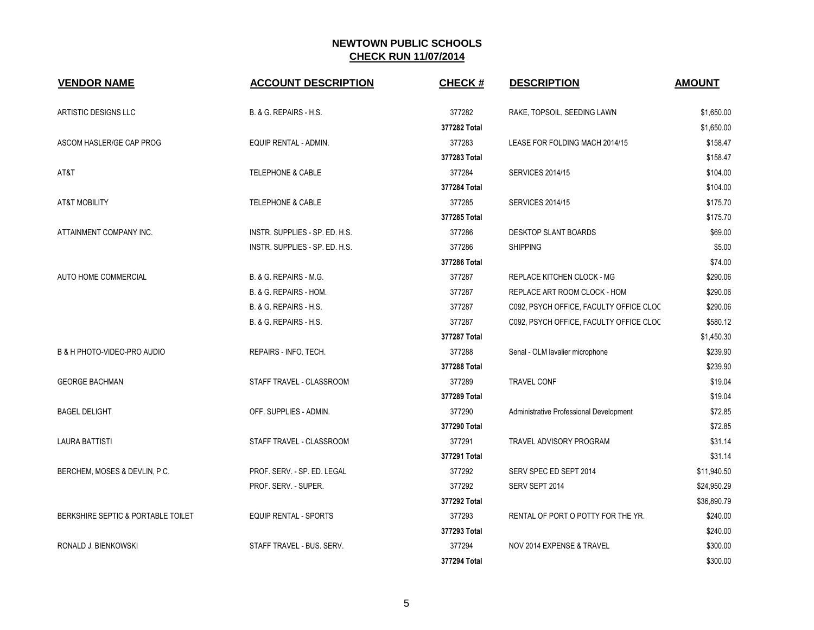| <b>VENDOR NAME</b>                 | <b>ACCOUNT DESCRIPTION</b>     | <b>CHECK#</b> | <b>DESCRIPTION</b>                      | <b>AMOUNT</b> |
|------------------------------------|--------------------------------|---------------|-----------------------------------------|---------------|
|                                    |                                |               |                                         |               |
| ARTISTIC DESIGNS LLC               | B. & G. REPAIRS - H.S.         | 377282        | RAKE, TOPSOIL, SEEDING LAWN             | \$1,650.00    |
|                                    |                                | 377282 Total  |                                         | \$1,650.00    |
| ASCOM HASLER/GE CAP PROG           | EQUIP RENTAL - ADMIN.          | 377283        | LEASE FOR FOLDING MACH 2014/15          | \$158.47      |
|                                    |                                | 377283 Total  |                                         | \$158.47      |
| AT&T                               | <b>TELEPHONE &amp; CABLE</b>   | 377284        | <b>SERVICES 2014/15</b>                 | \$104.00      |
|                                    |                                | 377284 Total  |                                         | \$104.00      |
| <b>AT&amp;T MOBILITY</b>           | <b>TELEPHONE &amp; CABLE</b>   | 377285        | <b>SERVICES 2014/15</b>                 | \$175.70      |
|                                    |                                | 377285 Total  |                                         | \$175.70      |
| ATTAINMENT COMPANY INC.            | INSTR. SUPPLIES - SP. ED. H.S. | 377286        | <b>DESKTOP SLANT BOARDS</b>             | \$69.00       |
|                                    | INSTR. SUPPLIES - SP. ED. H.S. | 377286        | <b>SHIPPING</b>                         | \$5.00        |
|                                    |                                | 377286 Total  |                                         | \$74.00       |
| AUTO HOME COMMERCIAL               | B. & G. REPAIRS - M.G.         | 377287        | REPLACE KITCHEN CLOCK - MG              | \$290.06      |
|                                    | B. & G. REPAIRS - HOM.         | 377287        | REPLACE ART ROOM CLOCK - HOM            | \$290.06      |
|                                    | B. & G. REPAIRS - H.S.         | 377287        | C092, PSYCH OFFICE, FACULTY OFFICE CLOC | \$290.06      |
|                                    | B. & G. REPAIRS - H.S.         | 377287        | C092, PSYCH OFFICE, FACULTY OFFICE CLOC | \$580.12      |
|                                    |                                | 377287 Total  |                                         | \$1,450.30    |
| B & H PHOTO-VIDEO-PRO AUDIO        | REPAIRS - INFO. TECH.          | 377288        | Senal - OLM lavalier microphone         | \$239.90      |
|                                    |                                | 377288 Total  |                                         | \$239.90      |
| <b>GEORGE BACHMAN</b>              | STAFF TRAVEL - CLASSROOM       | 377289        | <b>TRAVEL CONF</b>                      | \$19.04       |
|                                    |                                | 377289 Total  |                                         | \$19.04       |
| <b>BAGEL DELIGHT</b>               | OFF. SUPPLIES - ADMIN.         | 377290        | Administrative Professional Development | \$72.85       |
|                                    |                                | 377290 Total  |                                         | \$72.85       |
| <b>LAURA BATTISTI</b>              | STAFF TRAVEL - CLASSROOM       | 377291        | TRAVEL ADVISORY PROGRAM                 | \$31.14       |
|                                    |                                | 377291 Total  |                                         | \$31.14       |
| BERCHEM, MOSES & DEVLIN, P.C.      | PROF. SERV. - SP. ED. LEGAL    | 377292        | SERV SPEC ED SEPT 2014                  | \$11,940.50   |
|                                    | PROF. SERV. - SUPER.           | 377292        | SERV SEPT 2014                          | \$24,950.29   |
|                                    |                                | 377292 Total  |                                         | \$36,890.79   |
| BERKSHIRE SEPTIC & PORTABLE TOILET | <b>EQUIP RENTAL - SPORTS</b>   | 377293        | RENTAL OF PORT O POTTY FOR THE YR.      | \$240.00      |
|                                    |                                | 377293 Total  |                                         | \$240.00      |
| RONALD J. BIENKOWSKI               | STAFF TRAVEL - BUS. SERV.      | 377294        | NOV 2014 EXPENSE & TRAVEL               | \$300.00      |
|                                    |                                | 377294 Total  |                                         | \$300.00      |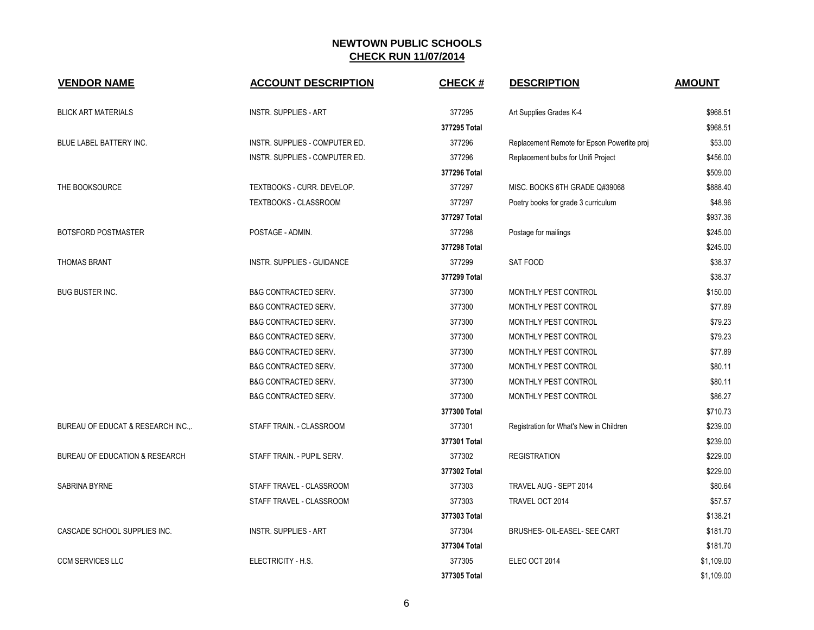| <b>VENDOR NAME</b>              | <b>ACCOUNT DESCRIPTION</b>        | <b>CHECK#</b> | <b>DESCRIPTION</b>                          | <b>AMOUNT</b> |
|---------------------------------|-----------------------------------|---------------|---------------------------------------------|---------------|
| <b>BLICK ART MATERIALS</b>      | <b>INSTR. SUPPLIES - ART</b>      | 377295        | Art Supplies Grades K-4                     | \$968.51      |
|                                 |                                   | 377295 Total  |                                             | \$968.51      |
| BLUE LABEL BATTERY INC.         | INSTR. SUPPLIES - COMPUTER ED.    | 377296        | Replacement Remote for Epson Powerlite proj | \$53.00       |
|                                 | INSTR. SUPPLIES - COMPUTER ED.    | 377296        | Replacement bulbs for Unifi Project         | \$456.00      |
|                                 |                                   | 377296 Total  |                                             | \$509.00      |
| THE BOOKSOURCE                  | TEXTBOOKS - CURR. DEVELOP.        | 377297        | MISC. BOOKS 6TH GRADE Q#39068               | \$888.40      |
|                                 | TEXTBOOKS - CLASSROOM             | 377297        | Poetry books for grade 3 curriculum         | \$48.96       |
|                                 |                                   | 377297 Total  |                                             | \$937.36      |
| BOTSFORD POSTMASTER             | POSTAGE - ADMIN.                  | 377298        | Postage for mailings                        | \$245.00      |
|                                 |                                   | 377298 Total  |                                             | \$245.00      |
| <b>THOMAS BRANT</b>             | <b>INSTR. SUPPLIES - GUIDANCE</b> | 377299        | SAT FOOD                                    | \$38.37       |
|                                 |                                   | 377299 Total  |                                             | \$38.37       |
| <b>BUG BUSTER INC.</b>          | <b>B&amp;G CONTRACTED SERV.</b>   | 377300        | MONTHLY PEST CONTROL                        | \$150.00      |
|                                 | <b>B&amp;G CONTRACTED SERV.</b>   | 377300        | MONTHLY PEST CONTROL                        | \$77.89       |
|                                 | <b>B&amp;G CONTRACTED SERV.</b>   | 377300        | MONTHLY PEST CONTROL                        | \$79.23       |
|                                 | <b>B&amp;G CONTRACTED SERV.</b>   | 377300        | MONTHLY PEST CONTROL                        | \$79.23       |
|                                 | <b>B&amp;G CONTRACTED SERV.</b>   | 377300        | MONTHLY PEST CONTROL                        | \$77.89       |
|                                 | <b>B&amp;G CONTRACTED SERV.</b>   | 377300        | MONTHLY PEST CONTROL                        | \$80.11       |
|                                 | <b>B&amp;G CONTRACTED SERV.</b>   | 377300        | MONTHLY PEST CONTROL                        | \$80.11       |
|                                 | <b>B&amp;G CONTRACTED SERV.</b>   | 377300        | MONTHLY PEST CONTROL                        | \$86.27       |
|                                 |                                   | 377300 Total  |                                             | \$710.73      |
| BUREAU OF EDUCAT & RESEARCH INC | STAFF TRAIN. - CLASSROOM          | 377301        | Registration for What's New in Children     | \$239.00      |
|                                 |                                   | 377301 Total  |                                             | \$239.00      |
| BUREAU OF EDUCATION & RESEARCH  | STAFF TRAIN. - PUPIL SERV.        | 377302        | <b>REGISTRATION</b>                         | \$229.00      |
|                                 |                                   | 377302 Total  |                                             | \$229.00      |
| <b>SABRINA BYRNE</b>            | STAFF TRAVEL - CLASSROOM          | 377303        | TRAVEL AUG - SEPT 2014                      | \$80.64       |
|                                 | STAFF TRAVEL - CLASSROOM          | 377303        | TRAVEL OCT 2014                             | \$57.57       |
|                                 |                                   | 377303 Total  |                                             | \$138.21      |
| CASCADE SCHOOL SUPPLIES INC.    | <b>INSTR. SUPPLIES - ART</b>      | 377304        | BRUSHES- OIL-EASEL- SEE CART                | \$181.70      |
|                                 |                                   | 377304 Total  |                                             | \$181.70      |
| <b>CCM SERVICES LLC</b>         | ELECTRICITY - H.S.                | 377305        | ELEC OCT 2014                               | \$1,109.00    |
|                                 |                                   | 377305 Total  |                                             | \$1,109.00    |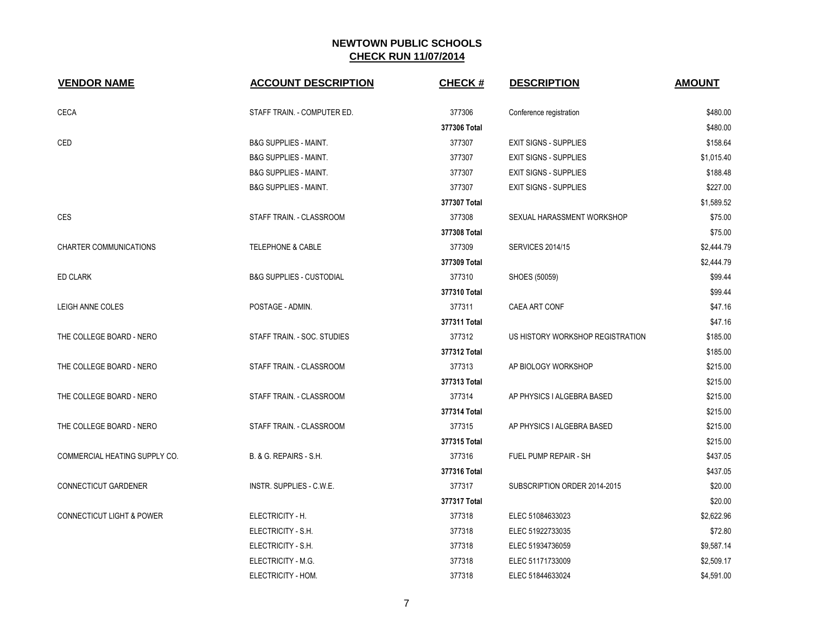| <b>VENDOR NAME</b>                   | <b>ACCOUNT DESCRIPTION</b>          | <b>CHECK#</b> | <b>DESCRIPTION</b>               | <b>AMOUNT</b> |
|--------------------------------------|-------------------------------------|---------------|----------------------------------|---------------|
| <b>CECA</b>                          | STAFF TRAIN. - COMPUTER ED.         | 377306        | Conference registration          | \$480.00      |
|                                      |                                     | 377306 Total  |                                  | \$480.00      |
| CED                                  | <b>B&amp;G SUPPLIES - MAINT.</b>    | 377307        | <b>EXIT SIGNS - SUPPLIES</b>     | \$158.64      |
|                                      | <b>B&amp;G SUPPLIES - MAINT.</b>    | 377307        | <b>EXIT SIGNS - SUPPLIES</b>     | \$1,015.40    |
|                                      | <b>B&amp;G SUPPLIES - MAINT.</b>    | 377307        | <b>EXIT SIGNS - SUPPLIES</b>     | \$188.48      |
|                                      | <b>B&amp;G SUPPLIES - MAINT.</b>    | 377307        | <b>EXIT SIGNS - SUPPLIES</b>     | \$227.00      |
|                                      |                                     | 377307 Total  |                                  | \$1,589.52    |
| <b>CES</b>                           | STAFF TRAIN. - CLASSROOM            | 377308        | SEXUAL HARASSMENT WORKSHOP       | \$75.00       |
|                                      |                                     | 377308 Total  |                                  | \$75.00       |
| CHARTER COMMUNICATIONS               | <b>TELEPHONE &amp; CABLE</b>        | 377309        | <b>SERVICES 2014/15</b>          | \$2,444.79    |
|                                      |                                     | 377309 Total  |                                  | \$2,444.79    |
| <b>ED CLARK</b>                      | <b>B&amp;G SUPPLIES - CUSTODIAL</b> | 377310        | SHOES (50059)                    | \$99.44       |
|                                      |                                     | 377310 Total  |                                  | \$99.44       |
| LEIGH ANNE COLES                     | POSTAGE - ADMIN.                    | 377311        | <b>CAEA ART CONF</b>             | \$47.16       |
|                                      |                                     | 377311 Total  |                                  | \$47.16       |
| THE COLLEGE BOARD - NERO             | STAFF TRAIN. - SOC. STUDIES         | 377312        | US HISTORY WORKSHOP REGISTRATION | \$185.00      |
|                                      |                                     | 377312 Total  |                                  | \$185.00      |
| THE COLLEGE BOARD - NERO             | STAFF TRAIN. - CLASSROOM            | 377313        | AP BIOLOGY WORKSHOP              | \$215.00      |
|                                      |                                     | 377313 Total  |                                  | \$215.00      |
| THE COLLEGE BOARD - NERO             | STAFF TRAIN. - CLASSROOM            | 377314        | AP PHYSICS I ALGEBRA BASED       | \$215.00      |
|                                      |                                     | 377314 Total  |                                  | \$215.00      |
| THE COLLEGE BOARD - NERO             | STAFF TRAIN. - CLASSROOM            | 377315        | AP PHYSICS I ALGEBRA BASED       | \$215.00      |
|                                      |                                     | 377315 Total  |                                  | \$215.00      |
| COMMERCIAL HEATING SUPPLY CO.        | B. & G. REPAIRS - S.H.              | 377316        | <b>FUEL PUMP REPAIR - SH</b>     | \$437.05      |
|                                      |                                     | 377316 Total  |                                  | \$437.05      |
| CONNECTICUT GARDENER                 | INSTR. SUPPLIES - C.W.E.            | 377317        | SUBSCRIPTION ORDER 2014-2015     | \$20.00       |
|                                      |                                     | 377317 Total  |                                  | \$20.00       |
| <b>CONNECTICUT LIGHT &amp; POWER</b> | ELECTRICITY - H.                    | 377318        | ELEC 51084633023                 | \$2,622.96    |
|                                      | ELECTRICITY - S.H.                  | 377318        | ELEC 51922733035                 | \$72.80       |
|                                      | ELECTRICITY - S.H.                  | 377318        | ELEC 51934736059                 | \$9,587.14    |
|                                      | ELECTRICITY - M.G.                  | 377318        | ELEC 51171733009                 | \$2,509.17    |
|                                      | ELECTRICITY - HOM.                  | 377318        | ELEC 51844633024                 | \$4,591.00    |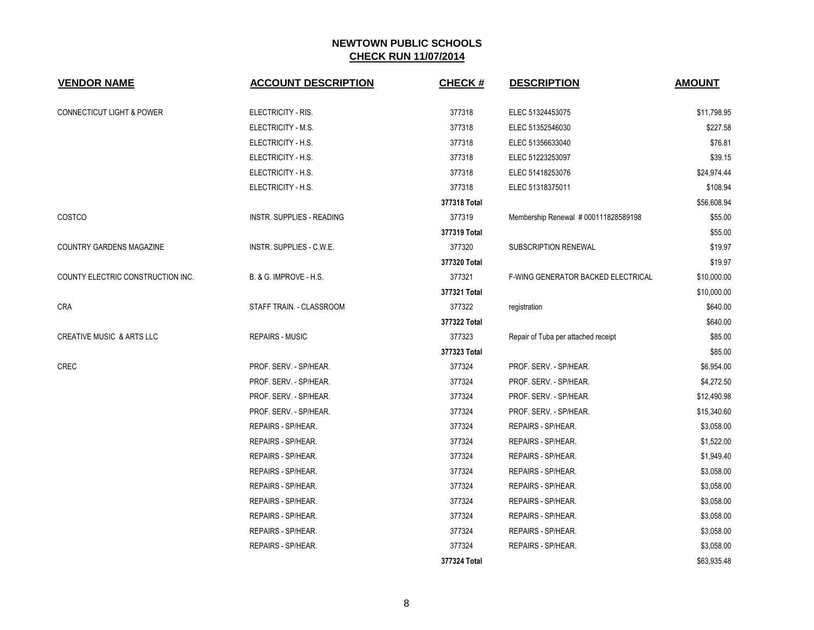| <b>VENDOR NAME</b>                   | <b>ACCOUNT DESCRIPTION</b>        | <b>CHECK#</b> | <b>DESCRIPTION</b>                   | <b>AMOUNT</b> |
|--------------------------------------|-----------------------------------|---------------|--------------------------------------|---------------|
| <b>CONNECTICUT LIGHT &amp; POWER</b> | ELECTRICITY - RIS.                | 377318        | ELEC 51324453075                     | \$11,798.95   |
|                                      | ELECTRICITY - M.S.                | 377318        | ELEC 51352546030                     | \$227.58      |
|                                      | ELECTRICITY - H.S.                | 377318        | ELEC 51356633040                     | \$76.81       |
|                                      | ELECTRICITY - H.S.                | 377318        | ELEC 51223253097                     | \$39.15       |
|                                      | ELECTRICITY - H.S.                | 377318        | ELEC 51418253076                     | \$24,974.44   |
|                                      | ELECTRICITY - H.S.                | 377318        | ELEC 51318375011                     | \$108.94      |
|                                      |                                   | 377318 Total  |                                      | \$56,608.94   |
| COSTCO                               | INSTR. SUPPLIES - READING         | 377319        | Membership Renewal # 000111828589198 | \$55.00       |
|                                      |                                   | 377319 Total  |                                      | \$55.00       |
| COUNTRY GARDENS MAGAZINE             | INSTR. SUPPLIES - C.W.E.          | 377320        | SUBSCRIPTION RENEWAL                 | \$19.97       |
|                                      |                                   | 377320 Total  |                                      | \$19.97       |
| COUNTY ELECTRIC CONSTRUCTION INC.    | <b>B. &amp; G. IMPROVE - H.S.</b> | 377321        | F-WING GENERATOR BACKED ELECTRICAL   | \$10,000.00   |
|                                      |                                   | 377321 Total  |                                      | \$10,000.00   |
| <b>CRA</b>                           | STAFF TRAIN. - CLASSROOM          | 377322        | registration                         | \$640.00      |
|                                      |                                   | 377322 Total  |                                      | \$640.00      |
| <b>CREATIVE MUSIC &amp; ARTS LLC</b> | <b>REPAIRS - MUSIC</b>            | 377323        | Repair of Tuba per attached receipt  | \$85.00       |
|                                      |                                   | 377323 Total  |                                      | \$85.00       |
| CREC                                 | PROF. SERV. - SP/HEAR.            | 377324        | PROF. SERV. - SP/HEAR.               | \$6,954.00    |
|                                      | PROF. SERV. - SP/HEAR.            | 377324        | PROF. SERV. - SP/HEAR.               | \$4,272.50    |
|                                      | PROF. SERV. - SP/HEAR.            | 377324        | PROF. SERV. - SP/HEAR.               | \$12,490.98   |
|                                      | PROF. SERV. - SP/HEAR.            | 377324        | PROF. SERV. - SP/HEAR.               | \$15,340.60   |
|                                      | REPAIRS - SP/HEAR.                | 377324        | REPAIRS - SP/HEAR.                   | \$3,058.00    |
|                                      | REPAIRS - SP/HEAR.                | 377324        | REPAIRS - SP/HEAR.                   | \$1,522.00    |
|                                      | REPAIRS - SP/HEAR.                | 377324        | REPAIRS - SP/HEAR.                   | \$1,949.40    |
|                                      | REPAIRS - SP/HEAR.                | 377324        | REPAIRS - SP/HEAR.                   | \$3,058.00    |
|                                      | REPAIRS - SP/HEAR.                | 377324        | REPAIRS - SP/HEAR.                   | \$3,058.00    |
|                                      | REPAIRS - SP/HEAR.                | 377324        | REPAIRS - SP/HEAR.                   | \$3,058.00    |
|                                      | REPAIRS - SP/HEAR.                | 377324        | REPAIRS - SP/HEAR.                   | \$3,058.00    |
|                                      | REPAIRS - SP/HEAR.                | 377324        | REPAIRS - SP/HEAR.                   | \$3,058.00    |
|                                      | REPAIRS - SP/HEAR.                | 377324        | REPAIRS - SP/HEAR.                   | \$3,058.00    |
|                                      |                                   | 377324 Total  |                                      | \$63,935.48   |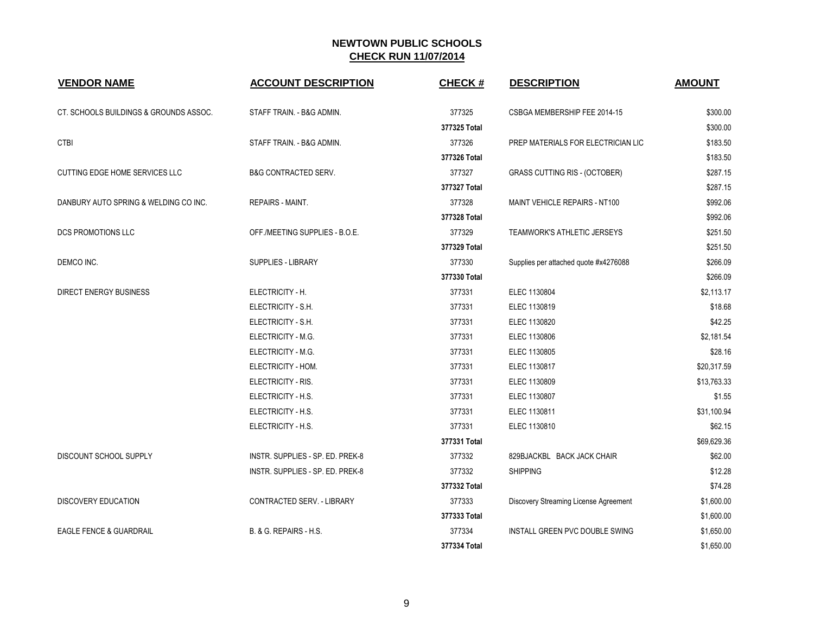| <b>VENDOR NAME</b>                     | <b>ACCOUNT DESCRIPTION</b>       | <b>CHECK#</b> | <b>DESCRIPTION</b>                    | <b>AMOUNT</b> |
|----------------------------------------|----------------------------------|---------------|---------------------------------------|---------------|
| CT. SCHOOLS BUILDINGS & GROUNDS ASSOC. | STAFF TRAIN. - B&G ADMIN.        | 377325        | CSBGA MEMBERSHIP FEE 2014-15          | \$300.00      |
|                                        |                                  | 377325 Total  |                                       | \$300.00      |
| <b>CTBI</b>                            | STAFF TRAIN. - B&G ADMIN.        | 377326        | PREP MATERIALS FOR ELECTRICIAN LIC    | \$183.50      |
|                                        |                                  | 377326 Total  |                                       | \$183.50      |
| <b>CUTTING EDGE HOME SERVICES LLC</b>  | <b>B&amp;G CONTRACTED SERV.</b>  | 377327        | <b>GRASS CUTTING RIS - (OCTOBER)</b>  | \$287.15      |
|                                        |                                  | 377327 Total  |                                       | \$287.15      |
| DANBURY AUTO SPRING & WELDING CO INC.  | <b>REPAIRS - MAINT.</b>          | 377328        | MAINT VEHICLE REPAIRS - NT100         | \$992.06      |
|                                        |                                  | 377328 Total  |                                       | \$992.06      |
| DCS PROMOTIONS LLC                     | OFF./MEETING SUPPLIES - B.O.E.   | 377329        | TEAMWORK'S ATHLETIC JERSEYS           | \$251.50      |
|                                        |                                  | 377329 Total  |                                       | \$251.50      |
| DEMCO INC.                             | <b>SUPPLIES - LIBRARY</b>        | 377330        | Supplies per attached quote #x4276088 | \$266.09      |
|                                        |                                  | 377330 Total  |                                       | \$266.09      |
| <b>DIRECT ENERGY BUSINESS</b>          | ELECTRICITY - H.                 | 377331        | ELEC 1130804                          | \$2,113.17    |
|                                        | ELECTRICITY - S.H.               | 377331        | ELEC 1130819                          | \$18.68       |
|                                        | ELECTRICITY - S.H.               | 377331        | ELEC 1130820                          | \$42.25       |
|                                        | ELECTRICITY - M.G.               | 377331        | ELEC 1130806                          | \$2,181.54    |
|                                        | ELECTRICITY - M.G.               | 377331        | ELEC 1130805                          | \$28.16       |
|                                        | ELECTRICITY - HOM.               | 377331        | ELEC 1130817                          | \$20,317.59   |
|                                        | ELECTRICITY - RIS.               | 377331        | ELEC 1130809                          | \$13,763.33   |
|                                        | ELECTRICITY - H.S.               | 377331        | ELEC 1130807                          | \$1.55        |
|                                        | ELECTRICITY - H.S.               | 377331        | ELEC 1130811                          | \$31,100.94   |
|                                        | ELECTRICITY - H.S.               | 377331        | ELEC 1130810                          | \$62.15       |
|                                        |                                  | 377331 Total  |                                       | \$69,629.36   |
| DISCOUNT SCHOOL SUPPLY                 | INSTR. SUPPLIES - SP. ED. PREK-8 | 377332        | 829BJACKBL BACK JACK CHAIR            | \$62.00       |
|                                        | INSTR. SUPPLIES - SP. ED. PREK-8 | 377332        | <b>SHIPPING</b>                       | \$12.28       |
|                                        |                                  | 377332 Total  |                                       | \$74.28       |
| <b>DISCOVERY EDUCATION</b>             | CONTRACTED SERV. - LIBRARY       | 377333        | Discovery Streaming License Agreement | \$1,600.00    |
|                                        |                                  | 377333 Total  |                                       | \$1,600.00    |
| <b>EAGLE FENCE &amp; GUARDRAIL</b>     | B. & G. REPAIRS - H.S.           | 377334        | INSTALL GREEN PVC DOUBLE SWING        | \$1,650.00    |
|                                        |                                  | 377334 Total  |                                       | \$1,650.00    |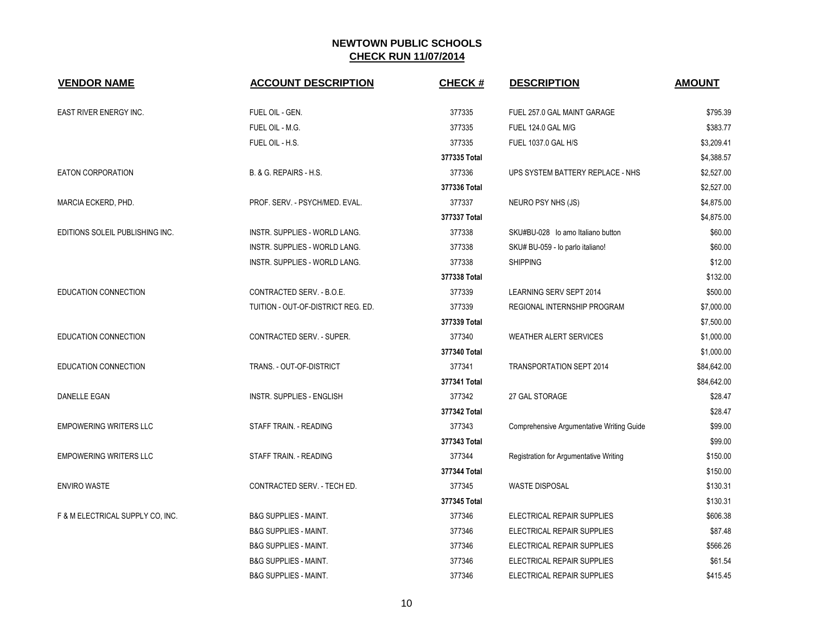| <b>VENDOR NAME</b>               | <b>ACCOUNT DESCRIPTION</b>         | <b>CHECK#</b> | <b>DESCRIPTION</b>                        | <b>AMOUNT</b> |
|----------------------------------|------------------------------------|---------------|-------------------------------------------|---------------|
| EAST RIVER ENERGY INC.           | FUEL OIL - GEN.                    | 377335        | FUEL 257.0 GAL MAINT GARAGE               | \$795.39      |
|                                  | FUEL OIL - M.G.                    | 377335        | <b>FUEL 124.0 GAL M/G</b>                 | \$383.77      |
|                                  | FUEL OIL - H.S.                    | 377335        | FUEL 1037.0 GAL H/S                       | \$3,209.41    |
|                                  |                                    | 377335 Total  |                                           | \$4,388.57    |
| <b>EATON CORPORATION</b>         | B. & G. REPAIRS - H.S.             | 377336        | UPS SYSTEM BATTERY REPLACE - NHS          | \$2,527.00    |
|                                  |                                    | 377336 Total  |                                           | \$2,527.00    |
| MARCIA ECKERD, PHD.              | PROF. SERV. - PSYCH/MED. EVAL.     | 377337        | NEURO PSY NHS (JS)                        | \$4,875.00    |
|                                  |                                    | 377337 Total  |                                           | \$4,875.00    |
| EDITIONS SOLEIL PUBLISHING INC.  | INSTR. SUPPLIES - WORLD LANG.      | 377338        | SKU#BU-028 lo amo Italiano button         | \$60.00       |
|                                  | INSTR. SUPPLIES - WORLD LANG.      | 377338        | SKU# BU-059 - lo parlo italiano!          | \$60.00       |
|                                  | INSTR. SUPPLIES - WORLD LANG.      | 377338        | <b>SHIPPING</b>                           | \$12.00       |
|                                  |                                    | 377338 Total  |                                           | \$132.00      |
| EDUCATION CONNECTION             | CONTRACTED SERV. - B.O.E.          | 377339        | LEARNING SERV SEPT 2014                   | \$500.00      |
|                                  | TUITION - OUT-OF-DISTRICT REG. ED. | 377339        | REGIONAL INTERNSHIP PROGRAM               | \$7,000.00    |
|                                  |                                    | 377339 Total  |                                           | \$7,500.00    |
| <b>EDUCATION CONNECTION</b>      | <b>CONTRACTED SERV. - SUPER.</b>   | 377340        | <b>WEATHER ALERT SERVICES</b>             | \$1,000.00    |
|                                  |                                    | 377340 Total  |                                           | \$1,000.00    |
| EDUCATION CONNECTION             | TRANS. - OUT-OF-DISTRICT           | 377341        | <b>TRANSPORTATION SEPT 2014</b>           | \$84,642.00   |
|                                  |                                    | 377341 Total  |                                           | \$84,642.00   |
| DANELLE EGAN                     | <b>INSTR. SUPPLIES - ENGLISH</b>   | 377342        | 27 GAL STORAGE                            | \$28.47       |
|                                  |                                    | 377342 Total  |                                           | \$28.47       |
| <b>EMPOWERING WRITERS LLC</b>    | STAFF TRAIN. - READING             | 377343        | Comprehensive Argumentative Writing Guide | \$99.00       |
|                                  |                                    | 377343 Total  |                                           | \$99.00       |
| <b>EMPOWERING WRITERS LLC</b>    | STAFF TRAIN. - READING             | 377344        | Registration for Argumentative Writing    | \$150.00      |
|                                  |                                    | 377344 Total  |                                           | \$150.00      |
| <b>ENVIRO WASTE</b>              | CONTRACTED SERV. - TECH ED.        | 377345        | <b>WASTE DISPOSAL</b>                     | \$130.31      |
|                                  |                                    | 377345 Total  |                                           | \$130.31      |
| F & M ELECTRICAL SUPPLY CO, INC. | <b>B&amp;G SUPPLIES - MAINT.</b>   | 377346        | ELECTRICAL REPAIR SUPPLIES                | \$606.38      |
|                                  | <b>B&amp;G SUPPLIES - MAINT.</b>   | 377346        | ELECTRICAL REPAIR SUPPLIES                | \$87.48       |
|                                  | <b>B&amp;G SUPPLIES - MAINT.</b>   | 377346        | ELECTRICAL REPAIR SUPPLIES                | \$566.26      |
|                                  | <b>B&amp;G SUPPLIES - MAINT.</b>   | 377346        | ELECTRICAL REPAIR SUPPLIES                | \$61.54       |
|                                  | <b>B&amp;G SUPPLIES - MAINT.</b>   | 377346        | ELECTRICAL REPAIR SUPPLIES                | \$415.45      |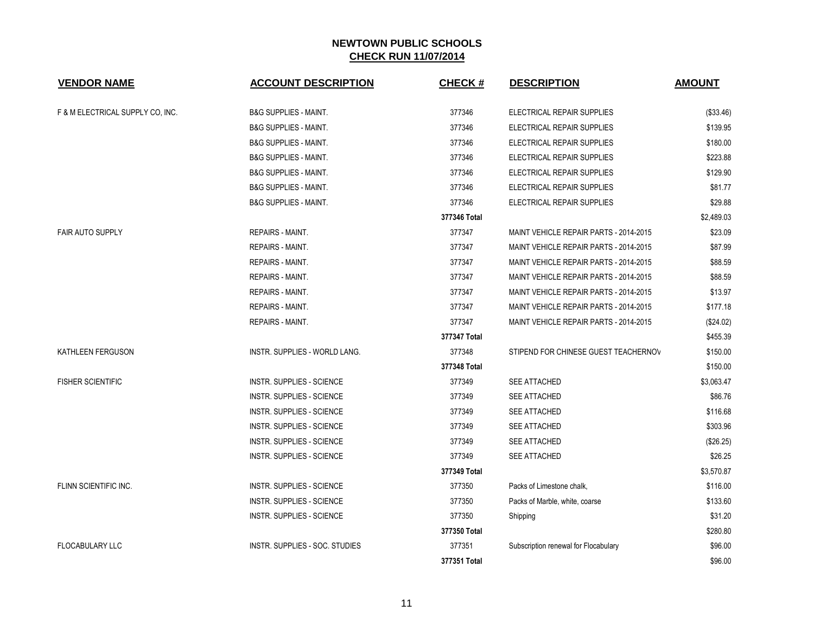| <b>VENDOR NAME</b>               | <b>ACCOUNT DESCRIPTION</b>       | <b>CHECK#</b> | <b>DESCRIPTION</b>                     | <b>AMOUNT</b> |
|----------------------------------|----------------------------------|---------------|----------------------------------------|---------------|
|                                  |                                  |               |                                        |               |
| F & M ELECTRICAL SUPPLY CO, INC. | <b>B&amp;G SUPPLIES - MAINT.</b> | 377346        | ELECTRICAL REPAIR SUPPLIES             | (\$33.46)     |
|                                  | <b>B&amp;G SUPPLIES - MAINT.</b> | 377346        | ELECTRICAL REPAIR SUPPLIES             | \$139.95      |
|                                  | <b>B&amp;G SUPPLIES - MAINT.</b> | 377346        | ELECTRICAL REPAIR SUPPLIES             | \$180.00      |
|                                  | <b>B&amp;G SUPPLIES - MAINT.</b> | 377346        | ELECTRICAL REPAIR SUPPLIES             | \$223.88      |
|                                  | <b>B&amp;G SUPPLIES - MAINT.</b> | 377346        | ELECTRICAL REPAIR SUPPLIES             | \$129.90      |
|                                  | <b>B&amp;G SUPPLIES - MAINT.</b> | 377346        | ELECTRICAL REPAIR SUPPLIES             | \$81.77       |
|                                  | <b>B&amp;G SUPPLIES - MAINT.</b> | 377346        | ELECTRICAL REPAIR SUPPLIES             | \$29.88       |
|                                  |                                  | 377346 Total  |                                        | \$2,489.03    |
| <b>FAIR AUTO SUPPLY</b>          | <b>REPAIRS - MAINT.</b>          | 377347        | MAINT VEHICLE REPAIR PARTS - 2014-2015 | \$23.09       |
|                                  | <b>REPAIRS - MAINT.</b>          | 377347        | MAINT VEHICLE REPAIR PARTS - 2014-2015 | \$87.99       |
|                                  | <b>REPAIRS - MAINT.</b>          | 377347        | MAINT VEHICLE REPAIR PARTS - 2014-2015 | \$88.59       |
|                                  | REPAIRS - MAINT.                 | 377347        | MAINT VEHICLE REPAIR PARTS - 2014-2015 | \$88.59       |
|                                  | REPAIRS - MAINT.                 | 377347        | MAINT VEHICLE REPAIR PARTS - 2014-2015 | \$13.97       |
|                                  | <b>REPAIRS - MAINT.</b>          | 377347        | MAINT VEHICLE REPAIR PARTS - 2014-2015 | \$177.18      |
|                                  | <b>REPAIRS - MAINT.</b>          | 377347        | MAINT VEHICLE REPAIR PARTS - 2014-2015 | (\$24.02)     |
|                                  |                                  | 377347 Total  |                                        | \$455.39      |
| KATHLEEN FERGUSON                | INSTR. SUPPLIES - WORLD LANG.    | 377348        | STIPEND FOR CHINESE GUEST TEACHERNOV   | \$150.00      |
|                                  |                                  | 377348 Total  |                                        | \$150.00      |
| <b>FISHER SCIENTIFIC</b>         | <b>INSTR. SUPPLIES - SCIENCE</b> | 377349        | SEE ATTACHED                           | \$3,063.47    |
|                                  | <b>INSTR. SUPPLIES - SCIENCE</b> | 377349        | SEE ATTACHED                           | \$86.76       |
|                                  | <b>INSTR. SUPPLIES - SCIENCE</b> | 377349        | SEE ATTACHED                           | \$116.68      |
|                                  | <b>INSTR. SUPPLIES - SCIENCE</b> | 377349        | SEE ATTACHED                           | \$303.96      |
|                                  | <b>INSTR. SUPPLIES - SCIENCE</b> | 377349        | <b>SEE ATTACHED</b>                    | (\$26.25)     |
|                                  | <b>INSTR. SUPPLIES - SCIENCE</b> | 377349        | <b>SEE ATTACHED</b>                    | \$26.25       |
|                                  |                                  | 377349 Total  |                                        | \$3,570.87    |
| FLINN SCIENTIFIC INC.            | <b>INSTR. SUPPLIES - SCIENCE</b> | 377350        | Packs of Limestone chalk,              | \$116.00      |
|                                  | <b>INSTR. SUPPLIES - SCIENCE</b> | 377350        | Packs of Marble, white, coarse         | \$133.60      |
|                                  | <b>INSTR. SUPPLIES - SCIENCE</b> | 377350        | Shipping                               | \$31.20       |
|                                  |                                  | 377350 Total  |                                        | \$280.80      |
| <b>FLOCABULARY LLC</b>           | INSTR. SUPPLIES - SOC. STUDIES   | 377351        | Subscription renewal for Flocabulary   | \$96.00       |
|                                  |                                  | 377351 Total  |                                        | \$96.00       |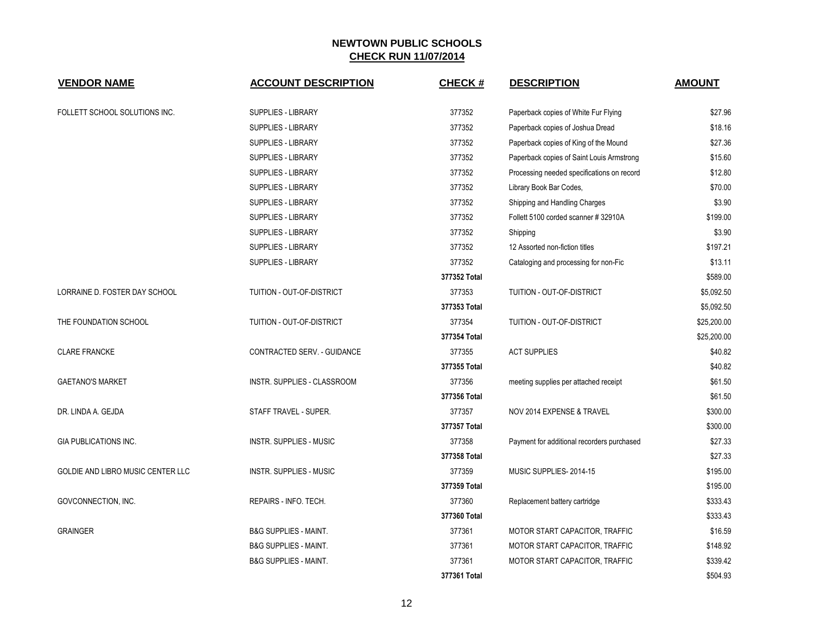| <b>VENDOR NAME</b>                | <b>ACCOUNT DESCRIPTION</b>       | <b>CHECK#</b> | <b>DESCRIPTION</b>                         | <b>AMOUNT</b> |
|-----------------------------------|----------------------------------|---------------|--------------------------------------------|---------------|
| FOLLETT SCHOOL SOLUTIONS INC.     | <b>SUPPLIES - LIBRARY</b>        | 377352        | Paperback copies of White Fur Flying       | \$27.96       |
|                                   | <b>SUPPLIES - LIBRARY</b>        | 377352        | Paperback copies of Joshua Dread           | \$18.16       |
|                                   | SUPPLIES - LIBRARY               | 377352        | Paperback copies of King of the Mound      | \$27.36       |
|                                   | <b>SUPPLIES - LIBRARY</b>        | 377352        | Paperback copies of Saint Louis Armstrong  | \$15.60       |
|                                   | <b>SUPPLIES - LIBRARY</b>        | 377352        | Processing needed specifications on record | \$12.80       |
|                                   | <b>SUPPLIES - LIBRARY</b>        | 377352        | Library Book Bar Codes,                    | \$70.00       |
|                                   | <b>SUPPLIES - LIBRARY</b>        | 377352        | Shipping and Handling Charges              | \$3.90        |
|                                   | SUPPLIES - LIBRARY               | 377352        | Follett 5100 corded scanner #32910A        | \$199.00      |
|                                   | <b>SUPPLIES - LIBRARY</b>        | 377352        | Shipping                                   | \$3.90        |
|                                   | <b>SUPPLIES - LIBRARY</b>        | 377352        | 12 Assorted non-fiction titles             | \$197.21      |
|                                   | SUPPLIES - LIBRARY               | 377352        | Cataloging and processing for non-Fic      | \$13.11       |
|                                   |                                  | 377352 Total  |                                            | \$589.00      |
| LORRAINE D. FOSTER DAY SCHOOL     | TUITION - OUT-OF-DISTRICT        | 377353        | TUITION - OUT-OF-DISTRICT                  | \$5,092.50    |
|                                   |                                  | 377353 Total  |                                            | \$5,092.50    |
| THE FOUNDATION SCHOOL             | TUITION - OUT-OF-DISTRICT        | 377354        | TUITION - OUT-OF-DISTRICT                  | \$25,200.00   |
|                                   |                                  | 377354 Total  |                                            | \$25,200.00   |
| <b>CLARE FRANCKE</b>              | CONTRACTED SERV. - GUIDANCE      | 377355        | <b>ACT SUPPLIES</b>                        | \$40.82       |
|                                   |                                  | 377355 Total  |                                            | \$40.82       |
| <b>GAETANO'S MARKET</b>           | INSTR. SUPPLIES - CLASSROOM      | 377356        | meeting supplies per attached receipt      | \$61.50       |
|                                   |                                  | 377356 Total  |                                            | \$61.50       |
| DR. LINDA A. GEJDA                | STAFF TRAVEL - SUPER.            | 377357        | NOV 2014 EXPENSE & TRAVEL                  | \$300.00      |
|                                   |                                  | 377357 Total  |                                            | \$300.00      |
| <b>GIA PUBLICATIONS INC.</b>      | <b>INSTR. SUPPLIES - MUSIC</b>   | 377358        | Payment for additional recorders purchased | \$27.33       |
|                                   |                                  | 377358 Total  |                                            | \$27.33       |
| GOLDIE AND LIBRO MUSIC CENTER LLC | <b>INSTR. SUPPLIES - MUSIC</b>   | 377359        | MUSIC SUPPLIES-2014-15                     | \$195.00      |
|                                   |                                  | 377359 Total  |                                            | \$195.00      |
| GOVCONNECTION, INC.               | REPAIRS - INFO. TECH.            | 377360        | Replacement battery cartridge              | \$333.43      |
|                                   |                                  | 377360 Total  |                                            | \$333.43      |
| <b>GRAINGER</b>                   | <b>B&amp;G SUPPLIES - MAINT.</b> | 377361        | MOTOR START CAPACITOR, TRAFFIC             | \$16.59       |
|                                   | <b>B&amp;G SUPPLIES - MAINT.</b> | 377361        | MOTOR START CAPACITOR, TRAFFIC             | \$148.92      |
|                                   | <b>B&amp;G SUPPLIES - MAINT.</b> | 377361        | MOTOR START CAPACITOR, TRAFFIC             | \$339.42      |
|                                   |                                  | 377361 Total  |                                            | \$504.93      |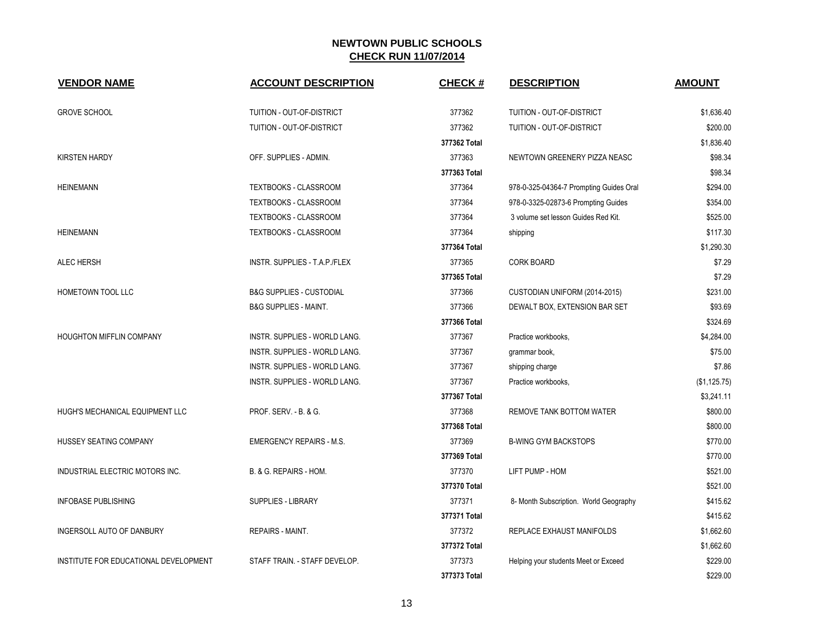| <b>VENDOR NAME</b>                    | <b>ACCOUNT DESCRIPTION</b>           | <b>CHECK#</b> | <b>DESCRIPTION</b>                      | <b>AMOUNT</b> |
|---------------------------------------|--------------------------------------|---------------|-----------------------------------------|---------------|
| <b>GROVE SCHOOL</b>                   | TUITION - OUT-OF-DISTRICT            | 377362        | <b>TUITION - OUT-OF-DISTRICT</b>        | \$1,636.40    |
|                                       | TUITION - OUT-OF-DISTRICT            | 377362        | <b>TUITION - OUT-OF-DISTRICT</b>        | \$200.00      |
|                                       |                                      | 377362 Total  |                                         | \$1,836.40    |
| <b>KIRSTEN HARDY</b>                  | OFF. SUPPLIES - ADMIN.               | 377363        | NEWTOWN GREENERY PIZZA NEASC            | \$98.34       |
|                                       |                                      | 377363 Total  |                                         | \$98.34       |
| <b>HEINEMANN</b>                      | TEXTBOOKS - CLASSROOM                | 377364        | 978-0-325-04364-7 Prompting Guides Oral | \$294.00      |
|                                       | TEXTBOOKS - CLASSROOM                | 377364        | 978-0-3325-02873-6 Prompting Guides     | \$354.00      |
|                                       | TEXTBOOKS - CLASSROOM                | 377364        | 3 volume set lesson Guides Red Kit.     | \$525.00      |
| <b>HEINEMANN</b>                      | TEXTBOOKS - CLASSROOM                | 377364        | shipping                                | \$117.30      |
|                                       |                                      | 377364 Total  |                                         | \$1,290.30    |
| ALEC HERSH                            | INSTR. SUPPLIES - T.A.P./FLEX        | 377365        | <b>CORK BOARD</b>                       | \$7.29        |
|                                       |                                      | 377365 Total  |                                         | \$7.29        |
| HOMETOWN TOOL LLC                     | <b>B&amp;G SUPPLIES - CUSTODIAL</b>  | 377366        | CUSTODIAN UNIFORM (2014-2015)           | \$231.00      |
|                                       | <b>B&amp;G SUPPLIES - MAINT.</b>     | 377366        | DEWALT BOX, EXTENSION BAR SET           | \$93.69       |
|                                       |                                      | 377366 Total  |                                         | \$324.69      |
| HOUGHTON MIFFLIN COMPANY              | INSTR. SUPPLIES - WORLD LANG.        | 377367        | Practice workbooks,                     | \$4,284.00    |
|                                       | INSTR. SUPPLIES - WORLD LANG.        | 377367        | grammar book,                           | \$75.00       |
|                                       | INSTR. SUPPLIES - WORLD LANG.        | 377367        | shipping charge                         | \$7.86        |
|                                       | <b>INSTR. SUPPLIES - WORLD LANG.</b> | 377367        | Practice workbooks,                     | (\$1,125.75)  |
|                                       |                                      | 377367 Total  |                                         | \$3.241.11    |
| HUGH'S MECHANICAL EQUIPMENT LLC       | PROF. SERV. - B. & G.                | 377368        | REMOVE TANK BOTTOM WATER                | \$800.00      |
|                                       |                                      | 377368 Total  |                                         | \$800.00      |
| HUSSEY SEATING COMPANY                | <b>EMERGENCY REPAIRS - M.S.</b>      | 377369        | <b>B-WING GYM BACKSTOPS</b>             | \$770.00      |
|                                       |                                      | 377369 Total  |                                         | \$770.00      |
| INDUSTRIAL ELECTRIC MOTORS INC.       | B. & G. REPAIRS - HOM.               | 377370        | LIFT PUMP - HOM                         | \$521.00      |
|                                       |                                      | 377370 Total  |                                         | \$521.00      |
| <b>INFOBASE PUBLISHING</b>            | SUPPLIES - LIBRARY                   | 377371        | 8- Month Subscription. World Geography  | \$415.62      |
|                                       |                                      | 377371 Total  |                                         | \$415.62      |
| INGERSOLL AUTO OF DANBURY             | <b>REPAIRS - MAINT.</b>              | 377372        | REPLACE EXHAUST MANIFOLDS               | \$1,662.60    |
|                                       |                                      | 377372 Total  |                                         | \$1,662.60    |
| INSTITUTE FOR EDUCATIONAL DEVELOPMENT | STAFF TRAIN. - STAFF DEVELOP.        | 377373        | Helping your students Meet or Exceed    | \$229.00      |
|                                       |                                      | 377373 Total  |                                         | \$229.00      |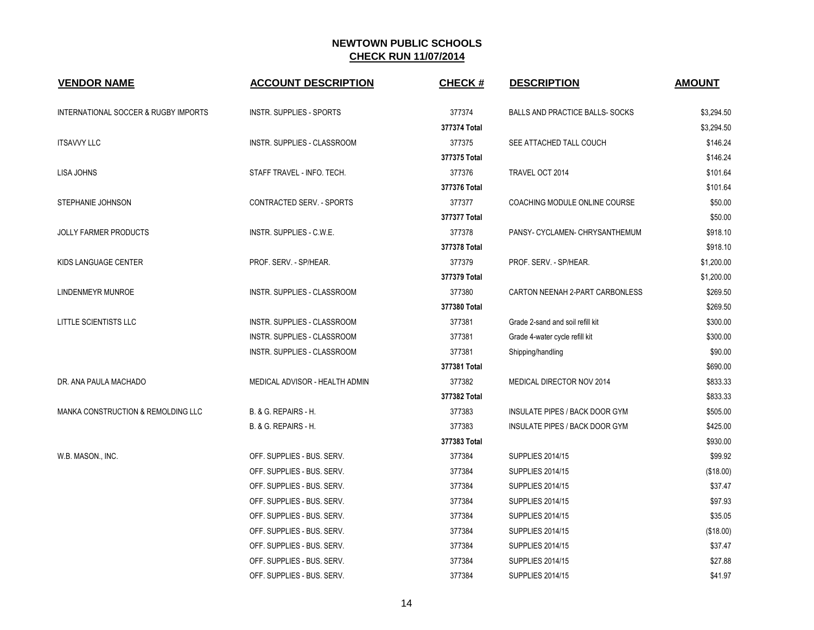| <b>VENDOR NAME</b>                              | <b>ACCOUNT DESCRIPTION</b>      | <b>CHECK#</b> | <b>DESCRIPTION</b>                     | <b>AMOUNT</b> |
|-------------------------------------------------|---------------------------------|---------------|----------------------------------------|---------------|
| <b>INTERNATIONAL SOCCER &amp; RUGBY IMPORTS</b> | <b>INSTR. SUPPLIES - SPORTS</b> | 377374        | <b>BALLS AND PRACTICE BALLS- SOCKS</b> | \$3,294.50    |
|                                                 |                                 | 377374 Total  |                                        | \$3,294.50    |
| <b>ITSAVVY LLC</b>                              | INSTR. SUPPLIES - CLASSROOM     | 377375        | SEE ATTACHED TALL COUCH                | \$146.24      |
|                                                 |                                 | 377375 Total  |                                        | \$146.24      |
| LISA JOHNS                                      | STAFF TRAVEL - INFO. TECH.      | 377376        | TRAVEL OCT 2014                        | \$101.64      |
|                                                 |                                 | 377376 Total  |                                        | \$101.64      |
| STEPHANIE JOHNSON                               | CONTRACTED SERV. - SPORTS       | 377377        | COACHING MODULE ONLINE COURSE          | \$50.00       |
|                                                 |                                 | 377377 Total  |                                        | \$50.00       |
| <b>JOLLY FARMER PRODUCTS</b>                    | INSTR. SUPPLIES - C.W.E.        | 377378        | PANSY- CYCLAMEN- CHRYSANTHEMUM         | \$918.10      |
|                                                 |                                 | 377378 Total  |                                        | \$918.10      |
| KIDS LANGUAGE CENTER                            | PROF. SERV. - SP/HEAR.          | 377379        | PROF. SERV. - SP/HEAR.                 | \$1,200.00    |
|                                                 |                                 | 377379 Total  |                                        | \$1,200.00    |
| <b>LINDENMEYR MUNROE</b>                        | INSTR. SUPPLIES - CLASSROOM     | 377380        | CARTON NEENAH 2-PART CARBONLESS        | \$269.50      |
|                                                 |                                 | 377380 Total  |                                        | \$269.50      |
| LITTLE SCIENTISTS LLC                           | INSTR. SUPPLIES - CLASSROOM     | 377381        | Grade 2-sand and soil refill kit       | \$300.00      |
|                                                 | INSTR. SUPPLIES - CLASSROOM     | 377381        | Grade 4-water cycle refill kit         | \$300.00      |
|                                                 | INSTR. SUPPLIES - CLASSROOM     | 377381        | Shipping/handling                      | \$90.00       |
|                                                 |                                 | 377381 Total  |                                        | \$690.00      |
| DR. ANA PAULA MACHADO                           | MEDICAL ADVISOR - HEALTH ADMIN  | 377382        | <b>MEDICAL DIRECTOR NOV 2014</b>       | \$833.33      |
|                                                 |                                 | 377382 Total  |                                        | \$833.33      |
| MANKA CONSTRUCTION & REMOLDING LLC              | B. & G. REPAIRS - H.            | 377383        | INSULATE PIPES / BACK DOOR GYM         | \$505.00      |
|                                                 | B. & G. REPAIRS - H.            | 377383        | INSULATE PIPES / BACK DOOR GYM         | \$425.00      |
|                                                 |                                 | 377383 Total  |                                        | \$930.00      |
| W.B. MASON., INC.                               | OFF. SUPPLIES - BUS. SERV.      | 377384        | <b>SUPPLIES 2014/15</b>                | \$99.92       |
|                                                 | OFF. SUPPLIES - BUS. SERV.      | 377384        | <b>SUPPLIES 2014/15</b>                | (\$18.00)     |
|                                                 | OFF. SUPPLIES - BUS. SERV.      | 377384        | <b>SUPPLIES 2014/15</b>                | \$37.47       |
|                                                 | OFF. SUPPLIES - BUS. SERV.      | 377384        | <b>SUPPLIES 2014/15</b>                | \$97.93       |
|                                                 | OFF. SUPPLIES - BUS. SERV.      | 377384        | <b>SUPPLIES 2014/15</b>                | \$35.05       |
|                                                 | OFF. SUPPLIES - BUS. SERV.      | 377384        | <b>SUPPLIES 2014/15</b>                | (\$18.00)     |
|                                                 | OFF. SUPPLIES - BUS. SERV.      | 377384        | <b>SUPPLIES 2014/15</b>                | \$37.47       |
|                                                 | OFF. SUPPLIES - BUS. SERV.      | 377384        | <b>SUPPLIES 2014/15</b>                | \$27.88       |
|                                                 | OFF. SUPPLIES - BUS. SERV.      | 377384        | <b>SUPPLIES 2014/15</b>                | \$41.97       |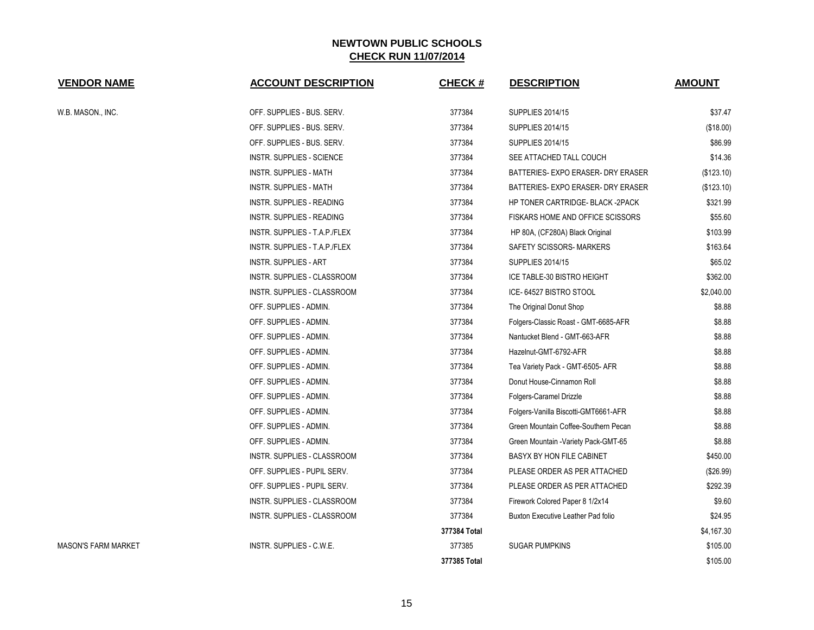| <b>VENDOR NAME</b>  | <b>ACCOUNT DESCRIPTION</b>       | <b>CHECK#</b> | <b>DESCRIPTION</b>                        | <b>AMOUNT</b> |
|---------------------|----------------------------------|---------------|-------------------------------------------|---------------|
| W.B. MASON., INC.   | OFF. SUPPLIES - BUS. SERV.       | 377384        | <b>SUPPLIES 2014/15</b>                   | \$37.47       |
|                     | OFF. SUPPLIES - BUS. SERV.       | 377384        | <b>SUPPLIES 2014/15</b>                   | (\$18.00)     |
|                     | OFF. SUPPLIES - BUS. SERV.       | 377384        | <b>SUPPLIES 2014/15</b>                   | \$86.99       |
|                     | <b>INSTR. SUPPLIES - SCIENCE</b> | 377384        | SEE ATTACHED TALL COUCH                   | \$14.36       |
|                     | INSTR. SUPPLIES - MATH           | 377384        | BATTERIES- EXPO ERASER- DRY ERASER        | (\$123.10)    |
|                     | INSTR. SUPPLIES - MATH           | 377384        | BATTERIES- EXPO ERASER- DRY ERASER        | (\$123.10)    |
|                     | INSTR. SUPPLIES - READING        | 377384        | HP TONER CARTRIDGE- BLACK -2PACK          | \$321.99      |
|                     | INSTR. SUPPLIES - READING        | 377384        | FISKARS HOME AND OFFICE SCISSORS          | \$55.60       |
|                     | INSTR. SUPPLIES - T.A.P./FLEX    | 377384        | HP 80A, (CF280A) Black Original           | \$103.99      |
|                     | INSTR. SUPPLIES - T.A.P./FLEX    | 377384        | SAFETY SCISSORS- MARKERS                  | \$163.64      |
|                     | <b>INSTR. SUPPLIES - ART</b>     | 377384        | <b>SUPPLIES 2014/15</b>                   | \$65.02       |
|                     | INSTR. SUPPLIES - CLASSROOM      | 377384        | ICE TABLE-30 BISTRO HEIGHT                | \$362.00      |
|                     | INSTR. SUPPLIES - CLASSROOM      | 377384        | ICE- 64527 BISTRO STOOL                   | \$2,040.00    |
|                     | OFF. SUPPLIES - ADMIN.           | 377384        | The Original Donut Shop                   | \$8.88        |
|                     | OFF. SUPPLIES - ADMIN.           | 377384        | Folgers-Classic Roast - GMT-6685-AFR      | \$8.88        |
|                     | OFF. SUPPLIES - ADMIN.           | 377384        | Nantucket Blend - GMT-663-AFR             | \$8.88        |
|                     | OFF. SUPPLIES - ADMIN.           | 377384        | Hazelnut-GMT-6792-AFR                     | \$8.88        |
|                     | OFF. SUPPLIES - ADMIN.           | 377384        | Tea Variety Pack - GMT-6505- AFR          | \$8.88        |
|                     | OFF. SUPPLIES - ADMIN.           | 377384        | Donut House-Cinnamon Roll                 | \$8.88        |
|                     | OFF. SUPPLIES - ADMIN.           | 377384        | Folgers-Caramel Drizzle                   | \$8.88        |
|                     | OFF. SUPPLIES - ADMIN.           | 377384        | Folgers-Vanilla Biscotti-GMT6661-AFR      | \$8.88        |
|                     | OFF. SUPPLIES - ADMIN.           | 377384        | Green Mountain Coffee-Southern Pecan      | \$8.88        |
|                     | OFF. SUPPLIES - ADMIN.           | 377384        | Green Mountain - Variety Pack-GMT-65      | \$8.88        |
|                     | INSTR. SUPPLIES - CLASSROOM      | 377384        | BASYX BY HON FILE CABINET                 | \$450.00      |
|                     | OFF. SUPPLIES - PUPIL SERV.      | 377384        | PLEASE ORDER AS PER ATTACHED              | (\$26.99)     |
|                     | OFF. SUPPLIES - PUPIL SERV.      | 377384        | PLEASE ORDER AS PER ATTACHED              | \$292.39      |
|                     | INSTR. SUPPLIES - CLASSROOM      | 377384        | Firework Colored Paper 8 1/2x14           | \$9.60        |
|                     | INSTR. SUPPLIES - CLASSROOM      | 377384        | <b>Buxton Executive Leather Pad folio</b> | \$24.95       |
|                     |                                  | 377384 Total  |                                           | \$4,167.30    |
| MASON'S FARM MARKET | INSTR. SUPPLIES - C.W.E.         | 377385        | <b>SUGAR PUMPKINS</b>                     | \$105.00      |
|                     |                                  | 377385 Total  |                                           | \$105.00      |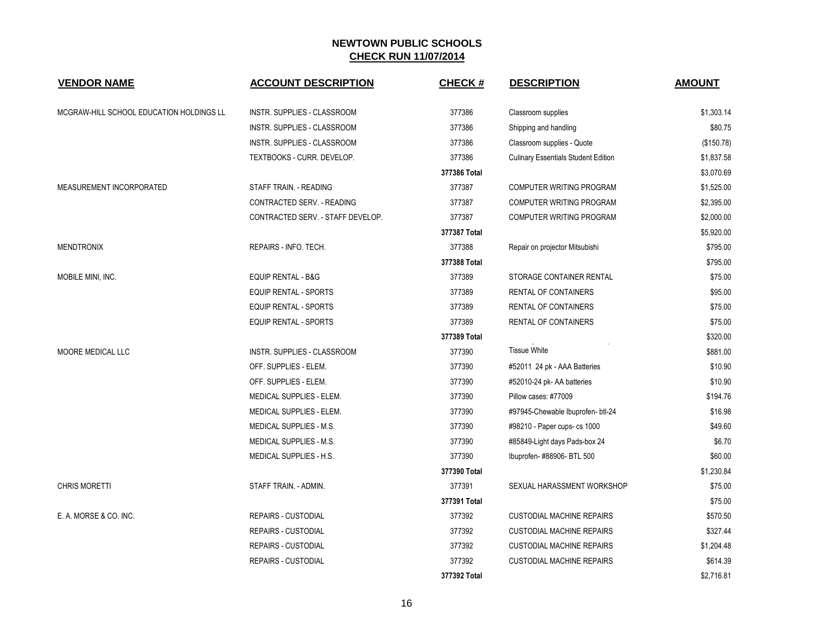| <b>VENDOR NAME</b>                       | <b>ACCOUNT DESCRIPTION</b>        | <b>CHECK#</b> | <b>DESCRIPTION</b>                         | <b>AMOUNT</b> |
|------------------------------------------|-----------------------------------|---------------|--------------------------------------------|---------------|
| MCGRAW-HILL SCHOOL EDUCATION HOLDINGS LL | INSTR. SUPPLIES - CLASSROOM       | 377386        | Classroom supplies                         | \$1,303.14    |
|                                          | INSTR. SUPPLIES - CLASSROOM       | 377386        | Shipping and handling                      | \$80.75       |
|                                          | INSTR. SUPPLIES - CLASSROOM       | 377386        | Classroom supplies - Quote                 | (\$150.78)    |
|                                          | TEXTBOOKS - CURR. DEVELOP.        | 377386        | <b>Culinary Essentials Student Edition</b> | \$1,837.58    |
|                                          |                                   | 377386 Total  |                                            | \$3,070.69    |
| MEASUREMENT INCORPORATED                 | STAFF TRAIN. - READING            | 377387        | <b>COMPUTER WRITING PROGRAM</b>            | \$1,525.00    |
|                                          | CONTRACTED SERV. - READING        | 377387        | <b>COMPUTER WRITING PROGRAM</b>            | \$2,395.00    |
|                                          | CONTRACTED SERV. - STAFF DEVELOP. | 377387        | COMPUTER WRITING PROGRAM                   | \$2,000.00    |
|                                          |                                   | 377387 Total  |                                            | \$5,920.00    |
| <b>MENDTRONIX</b>                        | REPAIRS - INFO. TECH.             | 377388        | Repair on projector Mitsubishi             | \$795.00      |
|                                          |                                   | 377388 Total  |                                            | \$795.00      |
| MOBILE MINI, INC.                        | <b>EQUIP RENTAL - B&amp;G</b>     | 377389        | STORAGE CONTAINER RENTAL                   | \$75.00       |
|                                          | <b>EQUIP RENTAL - SPORTS</b>      | 377389        | RENTAL OF CONTAINERS                       | \$95.00       |
|                                          | <b>EQUIP RENTAL - SPORTS</b>      | 377389        | RENTAL OF CONTAINERS                       | \$75.00       |
|                                          | <b>EQUIP RENTAL - SPORTS</b>      | 377389        | RENTAL OF CONTAINERS                       | \$75.00       |
|                                          |                                   | 377389 Total  |                                            | \$320.00      |
| MOORE MEDICAL LLC                        | INSTR. SUPPLIES - CLASSROOM       | 377390        | <b>Tissue White</b>                        | \$881.00      |
|                                          | OFF. SUPPLIES - ELEM.             | 377390        | #52011 24 pk - AAA Batteries               | \$10.90       |
|                                          | OFF. SUPPLIES - ELEM.             | 377390        | #52010-24 pk- AA batteries                 | \$10.90       |
|                                          | MEDICAL SUPPLIES - ELEM.          | 377390        | Pillow cases: #77009                       | \$194.76      |
|                                          | MEDICAL SUPPLIES - ELEM.          | 377390        | #97945-Chewable Ibuprofen- btl-24          | \$16.98       |
|                                          | MEDICAL SUPPLIES - M.S.           | 377390        | #98210 - Paper cups- cs 1000               | \$49.60       |
|                                          | MEDICAL SUPPLIES - M.S.           | 377390        | #85849-Light days Pads-box 24              | \$6.70        |
|                                          | MEDICAL SUPPLIES - H.S.           | 377390        | Ibuprofen- #88906- BTL 500                 | \$60.00       |
|                                          |                                   | 377390 Total  |                                            | \$1,230.84    |
| <b>CHRIS MORETTI</b>                     | STAFF TRAIN. - ADMIN.             | 377391        | SEXUAL HARASSMENT WORKSHOP                 | \$75.00       |
|                                          |                                   | 377391 Total  |                                            | \$75.00       |
| E. A. MORSE & CO. INC.                   | <b>REPAIRS - CUSTODIAL</b>        | 377392        | <b>CUSTODIAL MACHINE REPAIRS</b>           | \$570.50      |
|                                          | <b>REPAIRS - CUSTODIAL</b>        | 377392        | <b>CUSTODIAL MACHINE REPAIRS</b>           | \$327.44      |
|                                          | REPAIRS - CUSTODIAL               | 377392        | <b>CUSTODIAL MACHINE REPAIRS</b>           | \$1,204.48    |
|                                          | <b>REPAIRS - CUSTODIAL</b>        | 377392        | <b>CUSTODIAL MACHINE REPAIRS</b>           | \$614.39      |
|                                          |                                   | 377392 Total  |                                            | \$2,716.81    |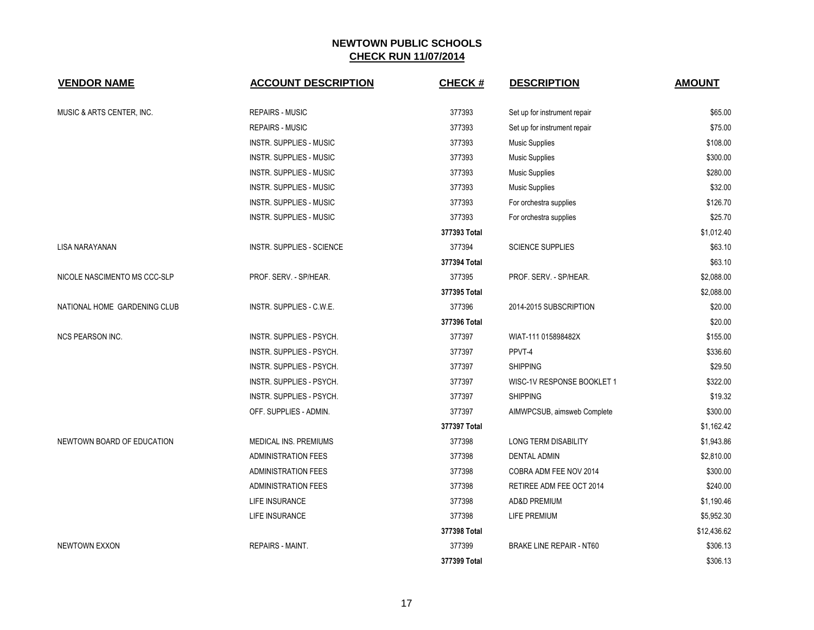| <b>VENDOR NAME</b>           | <b>ACCOUNT DESCRIPTION</b>     | <b>CHECK#</b> | <b>DESCRIPTION</b>              | <b>AMOUNT</b> |
|------------------------------|--------------------------------|---------------|---------------------------------|---------------|
| MUSIC & ARTS CENTER, INC.    | <b>REPAIRS - MUSIC</b>         | 377393        | Set up for instrument repair    | \$65.00       |
|                              | <b>REPAIRS - MUSIC</b>         | 377393        | Set up for instrument repair    | \$75.00       |
|                              | <b>INSTR. SUPPLIES - MUSIC</b> | 377393        | <b>Music Supplies</b>           | \$108.00      |
|                              | <b>INSTR. SUPPLIES - MUSIC</b> | 377393        | <b>Music Supplies</b>           | \$300.00      |
|                              | <b>INSTR. SUPPLIES - MUSIC</b> | 377393        | <b>Music Supplies</b>           | \$280.00      |
|                              | <b>INSTR. SUPPLIES - MUSIC</b> | 377393        | <b>Music Supplies</b>           | \$32.00       |
|                              | <b>INSTR. SUPPLIES - MUSIC</b> | 377393        | For orchestra supplies          | \$126.70      |
|                              | INSTR. SUPPLIES - MUSIC        | 377393        | For orchestra supplies          | \$25.70       |
|                              |                                | 377393 Total  |                                 | \$1,012.40    |
| LISA NARAYANAN               | INSTR. SUPPLIES - SCIENCE      | 377394        | <b>SCIENCE SUPPLIES</b>         | \$63.10       |
|                              |                                | 377394 Total  |                                 | \$63.10       |
| NICOLE NASCIMENTO MS CCC-SLP | PROF. SERV. - SP/HEAR.         | 377395        | PROF. SERV. - SP/HEAR.          | \$2,088.00    |
|                              |                                | 377395 Total  |                                 | \$2,088.00    |
| NATIONAL HOME GARDENING CLUB | INSTR. SUPPLIES - C.W.E.       | 377396        | 2014-2015 SUBSCRIPTION          | \$20.00       |
|                              |                                | 377396 Total  |                                 | \$20.00       |
| <b>NCS PEARSON INC.</b>      | INSTR. SUPPLIES - PSYCH.       | 377397        | WIAT-111 015898482X             | \$155.00      |
|                              | INSTR. SUPPLIES - PSYCH.       | 377397        | PPVT-4                          | \$336.60      |
|                              | INSTR. SUPPLIES - PSYCH.       | 377397        | <b>SHIPPING</b>                 | \$29.50       |
|                              | INSTR. SUPPLIES - PSYCH.       | 377397        | WISC-1V RESPONSE BOOKLET 1      | \$322.00      |
|                              | INSTR. SUPPLIES - PSYCH.       | 377397        | <b>SHIPPING</b>                 | \$19.32       |
|                              | OFF. SUPPLIES - ADMIN.         | 377397        | AIMWPCSUB, aimsweb Complete     | \$300.00      |
|                              |                                | 377397 Total  |                                 | \$1,162.42    |
| NEWTOWN BOARD OF EDUCATION   | MEDICAL INS. PREMIUMS          | 377398        | LONG TERM DISABILITY            | \$1,943.86    |
|                              | <b>ADMINISTRATION FEES</b>     | 377398        | <b>DENTAL ADMIN</b>             | \$2,810.00    |
|                              | <b>ADMINISTRATION FEES</b>     | 377398        | COBRA ADM FEE NOV 2014          | \$300.00      |
|                              | <b>ADMINISTRATION FEES</b>     | 377398        | RETIREE ADM FEE OCT 2014        | \$240.00      |
|                              | LIFE INSURANCE                 | 377398        | <b>AD&amp;D PREMIUM</b>         | \$1,190.46    |
|                              | LIFE INSURANCE                 | 377398        | LIFE PREMIUM                    | \$5,952.30    |
|                              |                                | 377398 Total  |                                 | \$12,436.62   |
| <b>NEWTOWN EXXON</b>         | REPAIRS - MAINT.               | 377399        | <b>BRAKE LINE REPAIR - NT60</b> | \$306.13      |
|                              |                                | 377399 Total  |                                 | \$306.13      |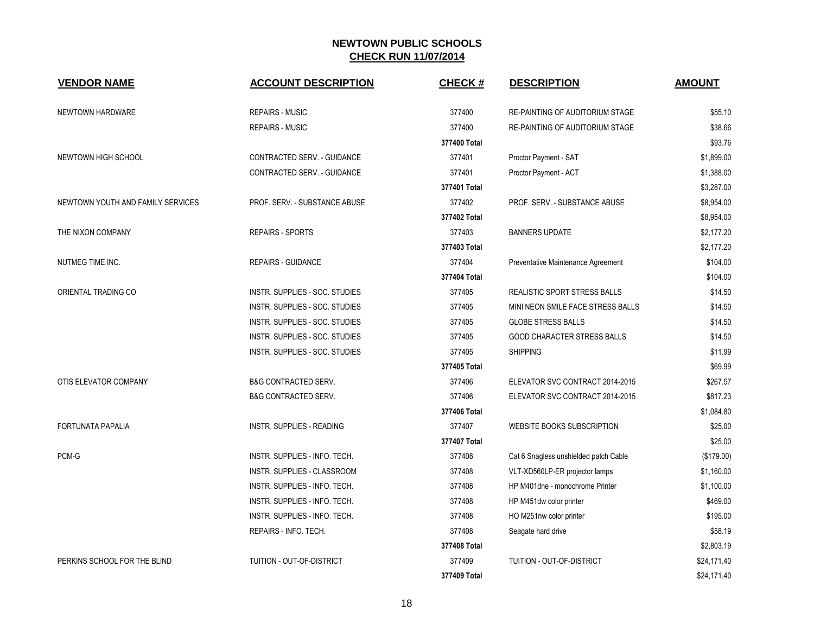| <b>VENDOR NAME</b>                | <b>ACCOUNT DESCRIPTION</b>       | <b>CHECK#</b> | <b>DESCRIPTION</b>                     | <b>AMOUNT</b> |
|-----------------------------------|----------------------------------|---------------|----------------------------------------|---------------|
| NEWTOWN HARDWARE                  | <b>REPAIRS - MUSIC</b>           | 377400        | <b>RE-PAINTING OF AUDITORIUM STAGE</b> | \$55.10       |
|                                   | <b>REPAIRS - MUSIC</b>           | 377400        | <b>RE-PAINTING OF AUDITORIUM STAGE</b> | \$38.66       |
|                                   |                                  | 377400 Total  |                                        | \$93.76       |
| NEWTOWN HIGH SCHOOL               | CONTRACTED SERV. - GUIDANCE      | 377401        | Proctor Payment - SAT                  | \$1,899.00    |
|                                   | CONTRACTED SERV. - GUIDANCE      | 377401        | Proctor Payment - ACT                  | \$1,388.00    |
|                                   |                                  | 377401 Total  |                                        | \$3,287.00    |
| NEWTOWN YOUTH AND FAMILY SERVICES | PROF. SERV. - SUBSTANCE ABUSE    | 377402        | PROF. SERV. - SUBSTANCE ABUSE          | \$8,954.00    |
|                                   |                                  | 377402 Total  |                                        | \$8,954.00    |
| THE NIXON COMPANY                 | <b>REPAIRS - SPORTS</b>          | 377403        | <b>BANNERS UPDATE</b>                  | \$2,177.20    |
|                                   |                                  | 377403 Total  |                                        | \$2,177.20    |
| NUTMEG TIME INC.                  | <b>REPAIRS - GUIDANCE</b>        | 377404        | Preventative Maintenance Agreement     | \$104.00      |
|                                   |                                  | 377404 Total  |                                        | \$104.00      |
| ORIENTAL TRADING CO               | INSTR. SUPPLIES - SOC. STUDIES   | 377405        | <b>REALISTIC SPORT STRESS BALLS</b>    | \$14.50       |
|                                   | INSTR. SUPPLIES - SOC. STUDIES   | 377405        | MINI NEON SMILE FACE STRESS BALLS      | \$14.50       |
|                                   | INSTR. SUPPLIES - SOC. STUDIES   | 377405        | <b>GLOBE STRESS BALLS</b>              | \$14.50       |
|                                   | INSTR. SUPPLIES - SOC. STUDIES   | 377405        | GOOD CHARACTER STRESS BALLS            | \$14.50       |
|                                   | INSTR. SUPPLIES - SOC. STUDIES   | 377405        | <b>SHIPPING</b>                        | \$11.99       |
|                                   |                                  | 377405 Total  |                                        | \$69.99       |
| OTIS ELEVATOR COMPANY             | <b>B&amp;G CONTRACTED SERV.</b>  | 377406        | ELEVATOR SVC CONTRACT 2014-2015        | \$267.57      |
|                                   | <b>B&amp;G CONTRACTED SERV.</b>  | 377406        | ELEVATOR SVC CONTRACT 2014-2015        | \$817.23      |
|                                   |                                  | 377406 Total  |                                        | \$1,084.80    |
| <b>FORTUNATA PAPALIA</b>          | INSTR. SUPPLIES - READING        | 377407        | WEBSITE BOOKS SUBSCRIPTION             | \$25.00       |
|                                   |                                  | 377407 Total  |                                        | \$25.00       |
| PCM-G                             | INSTR. SUPPLIES - INFO. TECH.    | 377408        | Cat 6 Snagless unshielded patch Cable  | (\$179.00)    |
|                                   | INSTR. SUPPLIES - CLASSROOM      | 377408        | VLT-XD560LP-ER projector lamps         | \$1,160.00    |
|                                   | INSTR. SUPPLIES - INFO. TECH.    | 377408        | HP M401dne - monochrome Printer        | \$1,100.00    |
|                                   | INSTR. SUPPLIES - INFO. TECH.    | 377408        | HP M451dw color printer                | \$469.00      |
|                                   | INSTR. SUPPLIES - INFO. TECH.    | 377408        | HO M251nw color printer                | \$195.00      |
|                                   | REPAIRS - INFO. TECH.            | 377408        | Seagate hard drive                     | \$58.19       |
|                                   |                                  | 377408 Total  |                                        | \$2,803.19    |
| PERKINS SCHOOL FOR THE BLIND      | <b>TUITION - OUT-OF-DISTRICT</b> | 377409        | <b>TUITION - OUT-OF-DISTRICT</b>       | \$24,171.40   |
|                                   |                                  | 377409 Total  |                                        | \$24,171.40   |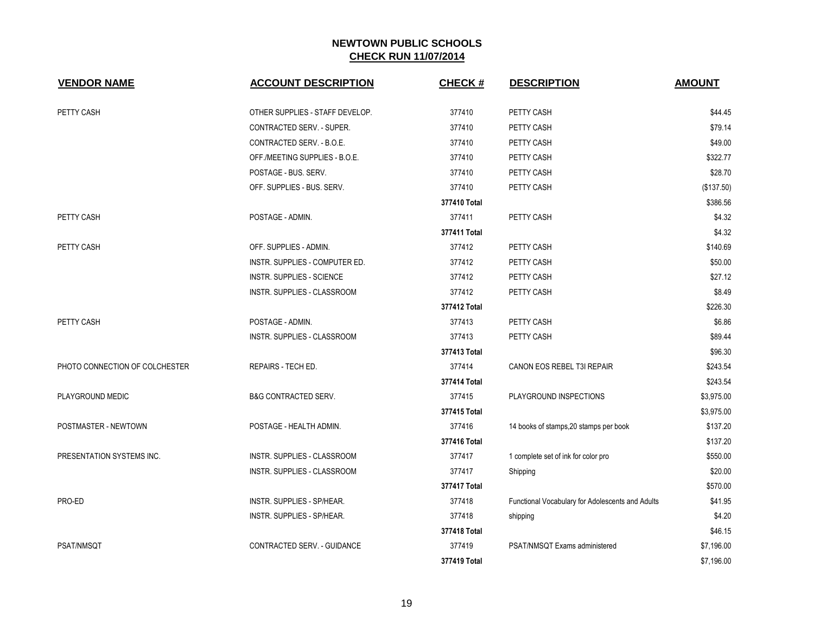| <b>VENDOR NAME</b>             | <b>ACCOUNT DESCRIPTION</b>       | <b>CHECK#</b> | <b>DESCRIPTION</b>                               | <b>AMOUNT</b> |
|--------------------------------|----------------------------------|---------------|--------------------------------------------------|---------------|
| PETTY CASH                     | OTHER SUPPLIES - STAFF DEVELOP.  | 377410        | PETTY CASH                                       | \$44.45       |
|                                | CONTRACTED SERV. - SUPER.        | 377410        | PETTY CASH                                       | \$79.14       |
|                                | CONTRACTED SERV. - B.O.E.        | 377410        | PETTY CASH                                       | \$49.00       |
|                                | OFF./MEETING SUPPLIES - B.O.E.   | 377410        | PETTY CASH                                       | \$322.77      |
|                                | POSTAGE - BUS. SERV.             | 377410        | PETTY CASH                                       | \$28.70       |
|                                | OFF. SUPPLIES - BUS. SERV.       | 377410        | PETTY CASH                                       | (\$137.50)    |
|                                |                                  | 377410 Total  |                                                  | \$386.56      |
| PETTY CASH                     | POSTAGE - ADMIN.                 | 377411        | PETTY CASH                                       | \$4.32        |
|                                |                                  | 377411 Total  |                                                  | \$4.32        |
| PETTY CASH                     | OFF. SUPPLIES - ADMIN.           | 377412        | PETTY CASH                                       | \$140.69      |
|                                | INSTR. SUPPLIES - COMPUTER ED.   | 377412        | PETTY CASH                                       | \$50.00       |
|                                | <b>INSTR. SUPPLIES - SCIENCE</b> | 377412        | PETTY CASH                                       | \$27.12       |
|                                | INSTR. SUPPLIES - CLASSROOM      | 377412        | PETTY CASH                                       | \$8.49        |
|                                |                                  | 377412 Total  |                                                  | \$226.30      |
| PETTY CASH                     | POSTAGE - ADMIN.                 | 377413        | PETTY CASH                                       | \$6.86        |
|                                | INSTR. SUPPLIES - CLASSROOM      | 377413        | PETTY CASH                                       | \$89.44       |
|                                |                                  | 377413 Total  |                                                  | \$96.30       |
| PHOTO CONNECTION OF COLCHESTER | REPAIRS - TECH ED.               | 377414        | CANON EOS REBEL T3I REPAIR                       | \$243.54      |
|                                |                                  | 377414 Total  |                                                  | \$243.54      |
| PLAYGROUND MEDIC               | <b>B&amp;G CONTRACTED SERV.</b>  | 377415        | PLAYGROUND INSPECTIONS                           | \$3,975.00    |
|                                |                                  | 377415 Total  |                                                  | \$3,975.00    |
| POSTMASTER - NEWTOWN           | POSTAGE - HEALTH ADMIN.          | 377416        | 14 books of stamps, 20 stamps per book           | \$137.20      |
|                                |                                  | 377416 Total  |                                                  | \$137.20      |
| PRESENTATION SYSTEMS INC.      | INSTR. SUPPLIES - CLASSROOM      | 377417        | 1 complete set of ink for color pro              | \$550.00      |
|                                | INSTR. SUPPLIES - CLASSROOM      | 377417        | Shipping                                         | \$20.00       |
|                                |                                  | 377417 Total  |                                                  | \$570.00      |
| PRO-ED                         | INSTR. SUPPLIES - SP/HEAR.       | 377418        | Functional Vocabulary for Adolescents and Adults | \$41.95       |
|                                | INSTR. SUPPLIES - SP/HEAR.       | 377418        | shipping                                         | \$4.20        |
|                                |                                  | 377418 Total  |                                                  | \$46.15       |
| PSAT/NMSQT                     | CONTRACTED SERV. - GUIDANCE      | 377419        | PSAT/NMSQT Exams administered                    | \$7,196.00    |
|                                |                                  | 377419 Total  |                                                  | \$7,196.00    |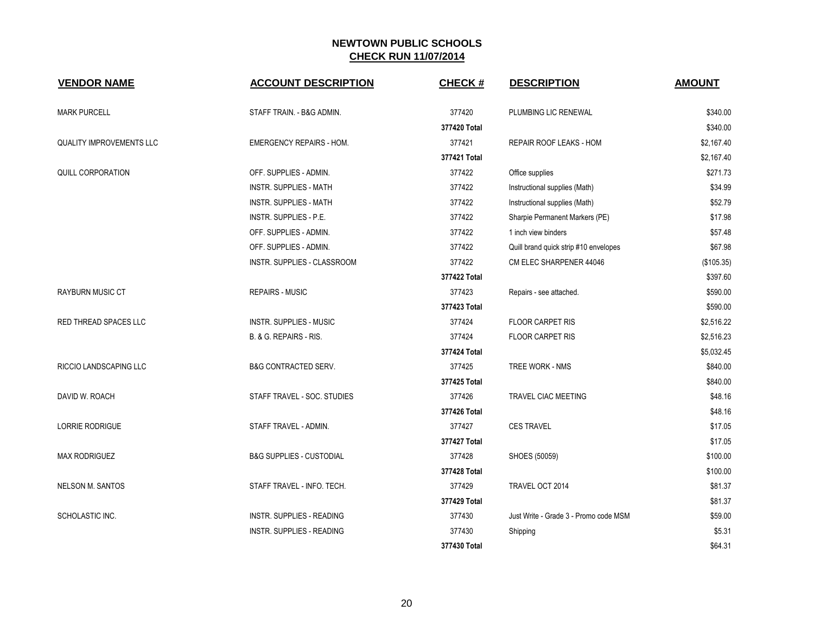| <b>VENDOR NAME</b>              | <b>ACCOUNT DESCRIPTION</b>          | <b>CHECK#</b> | <b>DESCRIPTION</b>                    | <b>AMOUNT</b> |
|---------------------------------|-------------------------------------|---------------|---------------------------------------|---------------|
| <b>MARK PURCELL</b>             | STAFF TRAIN. - B&G ADMIN.           | 377420        | PLUMBING LIC RENEWAL                  | \$340.00      |
|                                 |                                     | 377420 Total  |                                       | \$340.00      |
| <b>QUALITY IMPROVEMENTS LLC</b> | <b>EMERGENCY REPAIRS - HOM.</b>     | 377421        | <b>REPAIR ROOF LEAKS - HOM</b>        | \$2,167.40    |
|                                 |                                     | 377421 Total  |                                       | \$2,167.40    |
| QUILL CORPORATION               | OFF. SUPPLIES - ADMIN.              | 377422        | Office supplies                       | \$271.73      |
|                                 | <b>INSTR. SUPPLIES - MATH</b>       | 377422        | Instructional supplies (Math)         | \$34.99       |
|                                 | <b>INSTR. SUPPLIES - MATH</b>       | 377422        | Instructional supplies (Math)         | \$52.79       |
|                                 | INSTR. SUPPLIES - P.E.              | 377422        | Sharpie Permanent Markers (PE)        | \$17.98       |
|                                 | OFF. SUPPLIES - ADMIN.              | 377422        | 1 inch view binders                   | \$57.48       |
|                                 | OFF. SUPPLIES - ADMIN.              | 377422        | Quill brand quick strip #10 envelopes | \$67.98       |
|                                 | INSTR. SUPPLIES - CLASSROOM         | 377422        | CM ELEC SHARPENER 44046               | (\$105.35)    |
|                                 |                                     | 377422 Total  |                                       | \$397.60      |
| <b>RAYBURN MUSIC CT</b>         | <b>REPAIRS - MUSIC</b>              | 377423        | Repairs - see attached.               | \$590.00      |
|                                 |                                     | 377423 Total  |                                       | \$590.00      |
| <b>RED THREAD SPACES LLC</b>    | <b>INSTR. SUPPLIES - MUSIC</b>      | 377424        | <b>FLOOR CARPET RIS</b>               | \$2,516.22    |
|                                 | B. & G. REPAIRS - RIS.              | 377424        | <b>FLOOR CARPET RIS</b>               | \$2,516.23    |
|                                 |                                     | 377424 Total  |                                       | \$5,032.45    |
| <b>RICCIO LANDSCAPING LLC</b>   | <b>B&amp;G CONTRACTED SERV.</b>     | 377425        | TREE WORK - NMS                       | \$840.00      |
|                                 |                                     | 377425 Total  |                                       | \$840.00      |
| DAVID W. ROACH                  | STAFF TRAVEL - SOC. STUDIES         | 377426        | TRAVEL CIAC MEETING                   | \$48.16       |
|                                 |                                     | 377426 Total  |                                       | \$48.16       |
| <b>LORRIE RODRIGUE</b>          | STAFF TRAVEL - ADMIN.               | 377427        | <b>CES TRAVEL</b>                     | \$17.05       |
|                                 |                                     | 377427 Total  |                                       | \$17.05       |
| <b>MAX RODRIGUEZ</b>            | <b>B&amp;G SUPPLIES - CUSTODIAL</b> | 377428        | SHOES (50059)                         | \$100.00      |
|                                 |                                     | 377428 Total  |                                       | \$100.00      |
| <b>NELSON M. SANTOS</b>         | STAFF TRAVEL - INFO. TECH.          | 377429        | TRAVEL OCT 2014                       | \$81.37       |
|                                 |                                     | 377429 Total  |                                       | \$81.37       |
| SCHOLASTIC INC.                 | INSTR. SUPPLIES - READING           | 377430        | Just Write - Grade 3 - Promo code MSM | \$59.00       |
|                                 | <b>INSTR. SUPPLIES - READING</b>    | 377430        | Shipping                              | \$5.31        |
|                                 |                                     | 377430 Total  |                                       | \$64.31       |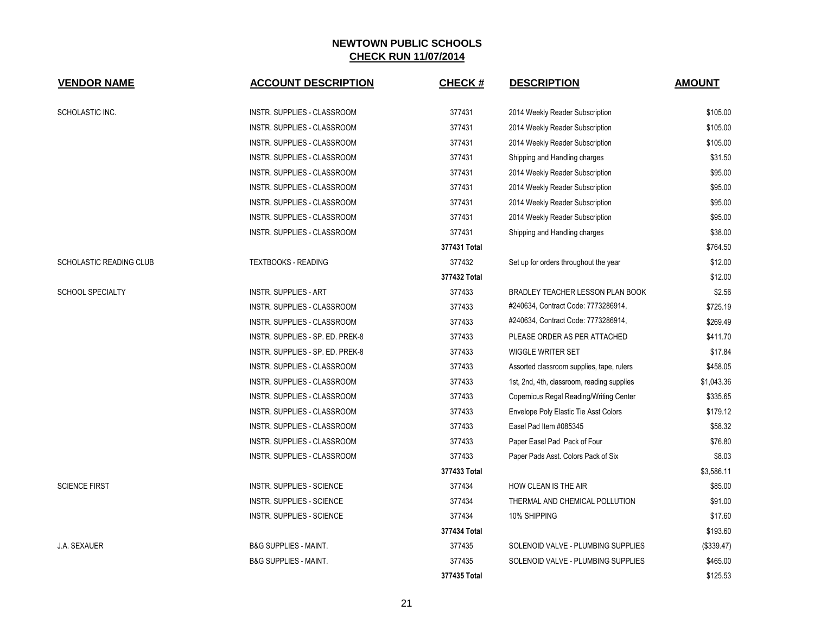| <b>VENDOR NAME</b>             | <b>ACCOUNT DESCRIPTION</b>       | <b>CHECK#</b> | <b>DESCRIPTION</b>                             | <b>AMOUNT</b> |
|--------------------------------|----------------------------------|---------------|------------------------------------------------|---------------|
|                                |                                  |               |                                                |               |
| SCHOLASTIC INC.                | INSTR. SUPPLIES - CLASSROOM      | 377431        | 2014 Weekly Reader Subscription                | \$105.00      |
|                                | INSTR. SUPPLIES - CLASSROOM      | 377431        | 2014 Weekly Reader Subscription                | \$105.00      |
|                                | INSTR. SUPPLIES - CLASSROOM      | 377431        | 2014 Weekly Reader Subscription                | \$105.00      |
|                                | INSTR. SUPPLIES - CLASSROOM      | 377431        | Shipping and Handling charges                  | \$31.50       |
|                                | INSTR. SUPPLIES - CLASSROOM      | 377431        | 2014 Weekly Reader Subscription                | \$95.00       |
|                                | INSTR. SUPPLIES - CLASSROOM      | 377431        | 2014 Weekly Reader Subscription                | \$95.00       |
|                                | INSTR. SUPPLIES - CLASSROOM      | 377431        | 2014 Weekly Reader Subscription                | \$95.00       |
|                                | INSTR. SUPPLIES - CLASSROOM      | 377431        | 2014 Weekly Reader Subscription                | \$95.00       |
|                                | INSTR. SUPPLIES - CLASSROOM      | 377431        | Shipping and Handling charges                  | \$38.00       |
|                                |                                  | 377431 Total  |                                                | \$764.50      |
| <b>SCHOLASTIC READING CLUB</b> | <b>TEXTBOOKS - READING</b>       | 377432        | Set up for orders throughout the year          | \$12.00       |
|                                |                                  | 377432 Total  |                                                | \$12.00       |
| <b>SCHOOL SPECIALTY</b>        | <b>INSTR. SUPPLIES - ART</b>     | 377433        | <b>BRADLEY TEACHER LESSON PLAN BOOK</b>        | \$2.56        |
|                                | INSTR. SUPPLIES - CLASSROOM      | 377433        | #240634, Contract Code: 7773286914,            | \$725.19      |
|                                | INSTR. SUPPLIES - CLASSROOM      | 377433        | #240634, Contract Code: 7773286914,            | \$269.49      |
|                                | INSTR. SUPPLIES - SP. ED. PREK-8 | 377433        | PLEASE ORDER AS PER ATTACHED                   | \$411.70      |
|                                | INSTR. SUPPLIES - SP. ED. PREK-8 | 377433        | <b>WIGGLE WRITER SET</b>                       | \$17.84       |
|                                | INSTR. SUPPLIES - CLASSROOM      | 377433        | Assorted classroom supplies, tape, rulers      | \$458.05      |
|                                | INSTR. SUPPLIES - CLASSROOM      | 377433        | 1st, 2nd, 4th, classroom, reading supplies     | \$1,043.36    |
|                                | INSTR. SUPPLIES - CLASSROOM      | 377433        | <b>Copernicus Regal Reading/Writing Center</b> | \$335.65      |
|                                | INSTR. SUPPLIES - CLASSROOM      | 377433        | Envelope Poly Elastic Tie Asst Colors          | \$179.12      |
|                                | INSTR. SUPPLIES - CLASSROOM      | 377433        | Easel Pad Item #085345                         | \$58.32       |
|                                | INSTR. SUPPLIES - CLASSROOM      | 377433        | Paper Easel Pad Pack of Four                   | \$76.80       |
|                                | INSTR. SUPPLIES - CLASSROOM      | 377433        | Paper Pads Asst. Colors Pack of Six            | \$8.03        |
|                                |                                  | 377433 Total  |                                                | \$3,586.11    |
| <b>SCIENCE FIRST</b>           | INSTR. SUPPLIES - SCIENCE        | 377434        | HOW CLEAN IS THE AIR                           | \$85.00       |
|                                | INSTR. SUPPLIES - SCIENCE        | 377434        | THERMAL AND CHEMICAL POLLUTION                 | \$91.00       |
|                                | INSTR. SUPPLIES - SCIENCE        | 377434        | 10% SHIPPING                                   | \$17.60       |
|                                |                                  | 377434 Total  |                                                | \$193.60      |
| J.A. SEXAUER                   | <b>B&amp;G SUPPLIES - MAINT.</b> | 377435        | SOLENOID VALVE - PLUMBING SUPPLIES             | (\$339.47)    |
|                                | <b>B&amp;G SUPPLIES - MAINT.</b> | 377435        | SOLENOID VALVE - PLUMBING SUPPLIES             | \$465.00      |
|                                |                                  | 377435 Total  |                                                | \$125.53      |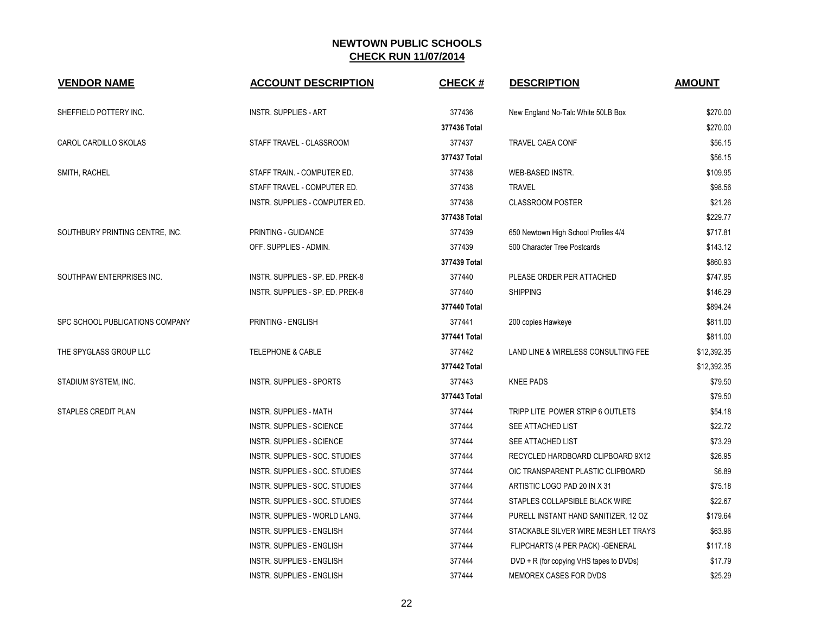| <b>VENDOR NAME</b>              | <b>ACCOUNT DESCRIPTION</b>           | <b>CHECK#</b> | <b>DESCRIPTION</b>                      | <b>AMOUNT</b> |
|---------------------------------|--------------------------------------|---------------|-----------------------------------------|---------------|
| SHEFFIELD POTTERY INC.          | <b>INSTR. SUPPLIES - ART</b>         | 377436        | New England No-Talc White 50LB Box      | \$270.00      |
|                                 |                                      | 377436 Total  |                                         | \$270.00      |
| CAROL CARDILLO SKOLAS           | STAFF TRAVEL - CLASSROOM             | 377437        | <b>TRAVEL CAEA CONF</b>                 | \$56.15       |
|                                 |                                      | 377437 Total  |                                         | \$56.15       |
| SMITH, RACHEL                   | STAFF TRAIN. - COMPUTER ED.          | 377438        | WEB-BASED INSTR.                        | \$109.95      |
|                                 | STAFF TRAVEL - COMPUTER ED.          | 377438        | <b>TRAVEL</b>                           | \$98.56       |
|                                 | INSTR. SUPPLIES - COMPUTER ED.       | 377438        | <b>CLASSROOM POSTER</b>                 | \$21.26       |
|                                 |                                      | 377438 Total  |                                         | \$229.77      |
| SOUTHBURY PRINTING CENTRE, INC. | PRINTING - GUIDANCE                  | 377439        | 650 Newtown High School Profiles 4/4    | \$717.81      |
|                                 | OFF. SUPPLIES - ADMIN.               | 377439        | 500 Character Tree Postcards            | \$143.12      |
|                                 |                                      | 377439 Total  |                                         | \$860.93      |
| SOUTHPAW ENTERPRISES INC.       | INSTR. SUPPLIES - SP. ED. PREK-8     | 377440        | PLEASE ORDER PER ATTACHED               | \$747.95      |
|                                 | INSTR. SUPPLIES - SP. ED. PREK-8     | 377440        | <b>SHIPPING</b>                         | \$146.29      |
|                                 |                                      | 377440 Total  |                                         | \$894.24      |
| SPC SCHOOL PUBLICATIONS COMPANY | PRINTING - ENGLISH                   | 377441        | 200 copies Hawkeye                      | \$811.00      |
|                                 |                                      | 377441 Total  |                                         | \$811.00      |
| THE SPYGLASS GROUP LLC          | <b>TELEPHONE &amp; CABLE</b>         | 377442        | LAND LINE & WIRELESS CONSULTING FEE     | \$12,392.35   |
|                                 |                                      | 377442 Total  |                                         | \$12,392.35   |
| STADIUM SYSTEM, INC.            | INSTR. SUPPLIES - SPORTS             | 377443        | <b>KNEE PADS</b>                        | \$79.50       |
|                                 |                                      | 377443 Total  |                                         | \$79.50       |
| STAPLES CREDIT PLAN             | <b>INSTR. SUPPLIES - MATH</b>        | 377444        | TRIPP LITE POWER STRIP 6 OUTLETS        | \$54.18       |
|                                 | <b>INSTR. SUPPLIES - SCIENCE</b>     | 377444        | SEE ATTACHED LIST                       | \$22.72       |
|                                 | INSTR. SUPPLIES - SCIENCE            | 377444        | SEE ATTACHED LIST                       | \$73.29       |
|                                 | INSTR. SUPPLIES - SOC. STUDIES       | 377444        | RECYCLED HARDBOARD CLIPBOARD 9X12       | \$26.95       |
|                                 | INSTR. SUPPLIES - SOC. STUDIES       | 377444        | OIC TRANSPARENT PLASTIC CLIPBOARD       | \$6.89        |
|                                 | INSTR. SUPPLIES - SOC. STUDIES       | 377444        | ARTISTIC LOGO PAD 20 IN X 31            | \$75.18       |
|                                 | INSTR. SUPPLIES - SOC. STUDIES       | 377444        | STAPLES COLLAPSIBLE BLACK WIRE          | \$22.67       |
|                                 | <b>INSTR. SUPPLIES - WORLD LANG.</b> | 377444        | PURELL INSTANT HAND SANITIZER, 12 OZ    | \$179.64      |
|                                 | INSTR. SUPPLIES - ENGLISH            | 377444        | STACKABLE SILVER WIRE MESH LET TRAYS    | \$63.96       |
|                                 | INSTR. SUPPLIES - ENGLISH            | 377444        | FLIPCHARTS (4 PER PACK) - GENERAL       | \$117.18      |
|                                 | INSTR. SUPPLIES - ENGLISH            | 377444        | DVD + R (for copying VHS tapes to DVDs) | \$17.79       |
|                                 | <b>INSTR. SUPPLIES - ENGLISH</b>     | 377444        | MEMOREX CASES FOR DVDS                  | \$25.29       |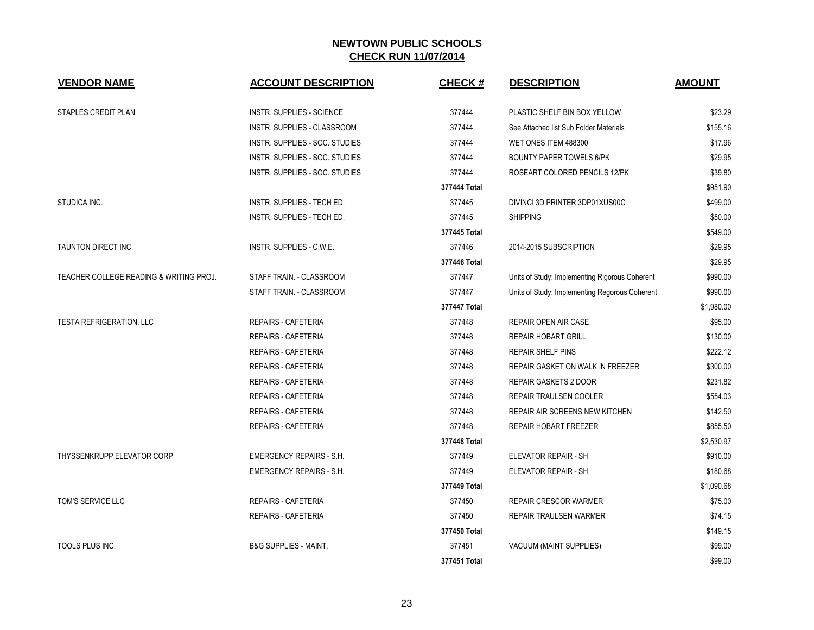| <b>VENDOR NAME</b>                      | <b>ACCOUNT DESCRIPTION</b>       | <b>CHECK#</b> | <b>DESCRIPTION</b>                             | <b>AMOUNT</b> |
|-----------------------------------------|----------------------------------|---------------|------------------------------------------------|---------------|
|                                         |                                  |               |                                                |               |
| STAPLES CREDIT PLAN                     | INSTR. SUPPLIES - SCIENCE        | 377444        | PLASTIC SHELF BIN BOX YELLOW                   | \$23.29       |
|                                         | INSTR. SUPPLIES - CLASSROOM      | 377444        | See Attached list Sub Folder Materials         | \$155.16      |
|                                         | INSTR. SUPPLIES - SOC. STUDIES   | 377444        | WET ONES ITEM 488300                           | \$17.96       |
|                                         | INSTR. SUPPLIES - SOC. STUDIES   | 377444        | <b>BOUNTY PAPER TOWELS 6/PK</b>                | \$29.95       |
|                                         | INSTR. SUPPLIES - SOC. STUDIES   | 377444        | ROSEART COLORED PENCILS 12/PK                  | \$39.80       |
|                                         |                                  | 377444 Total  |                                                | \$951.90      |
| STUDICA INC.                            | INSTR. SUPPLIES - TECH ED.       | 377445        | DIVINCI 3D PRINTER 3DP01XUS00C                 | \$499.00      |
|                                         | INSTR. SUPPLIES - TECH ED.       | 377445        | <b>SHIPPING</b>                                | \$50.00       |
|                                         |                                  | 377445 Total  |                                                | \$549.00      |
| TAUNTON DIRECT INC.                     | INSTR. SUPPLIES - C.W.E.         | 377446        | 2014-2015 SUBSCRIPTION                         | \$29.95       |
|                                         |                                  | 377446 Total  |                                                | \$29.95       |
| TEACHER COLLEGE READING & WRITING PROJ. | STAFF TRAIN. - CLASSROOM         | 377447        | Units of Study: Implementing Rigorous Coherent | \$990.00      |
|                                         | STAFF TRAIN. - CLASSROOM         | 377447        | Units of Study: Implementing Regorous Coherent | \$990.00      |
|                                         |                                  | 377447 Total  |                                                | \$1,980.00    |
| <b>TESTA REFRIGERATION, LLC</b>         | REPAIRS - CAFETERIA              | 377448        | REPAIR OPEN AIR CASE                           | \$95.00       |
|                                         | <b>REPAIRS - CAFETERIA</b>       | 377448        | <b>REPAIR HOBART GRILL</b>                     | \$130.00      |
|                                         | REPAIRS - CAFETERIA              | 377448        | <b>REPAIR SHELF PINS</b>                       | \$222.12      |
|                                         | <b>REPAIRS - CAFETERIA</b>       | 377448        | <b>REPAIR GASKET ON WALK IN FREEZER</b>        | \$300.00      |
|                                         | REPAIRS - CAFETERIA              | 377448        | REPAIR GASKETS 2 DOOR                          | \$231.82      |
|                                         | <b>REPAIRS - CAFETERIA</b>       | 377448        | REPAIR TRAULSEN COOLER                         | \$554.03      |
|                                         | REPAIRS - CAFETERIA              | 377448        | REPAIR AIR SCREENS NEW KITCHEN                 | \$142.50      |
|                                         | REPAIRS - CAFETERIA              | 377448        | REPAIR HOBART FREEZER                          | \$855.50      |
|                                         |                                  | 377448 Total  |                                                | \$2,530.97    |
| THYSSENKRUPP ELEVATOR CORP              | <b>EMERGENCY REPAIRS - S.H.</b>  | 377449        | ELEVATOR REPAIR - SH                           | \$910.00      |
|                                         | <b>EMERGENCY REPAIRS - S.H.</b>  | 377449        | ELEVATOR REPAIR - SH                           | \$180.68      |
|                                         |                                  | 377449 Total  |                                                | \$1,090.68    |
| TOM'S SERVICE LLC                       | REPAIRS - CAFETERIA              | 377450        | <b>REPAIR CRESCOR WARMER</b>                   | \$75.00       |
|                                         | <b>REPAIRS - CAFETERIA</b>       | 377450        | REPAIR TRAULSEN WARMER                         | \$74.15       |
|                                         |                                  | 377450 Total  |                                                | \$149.15      |
| <b>TOOLS PLUS INC.</b>                  | <b>B&amp;G SUPPLIES - MAINT.</b> | 377451        | VACUUM (MAINT SUPPLIES)                        | \$99.00       |
|                                         |                                  | 377451 Total  |                                                | \$99.00       |